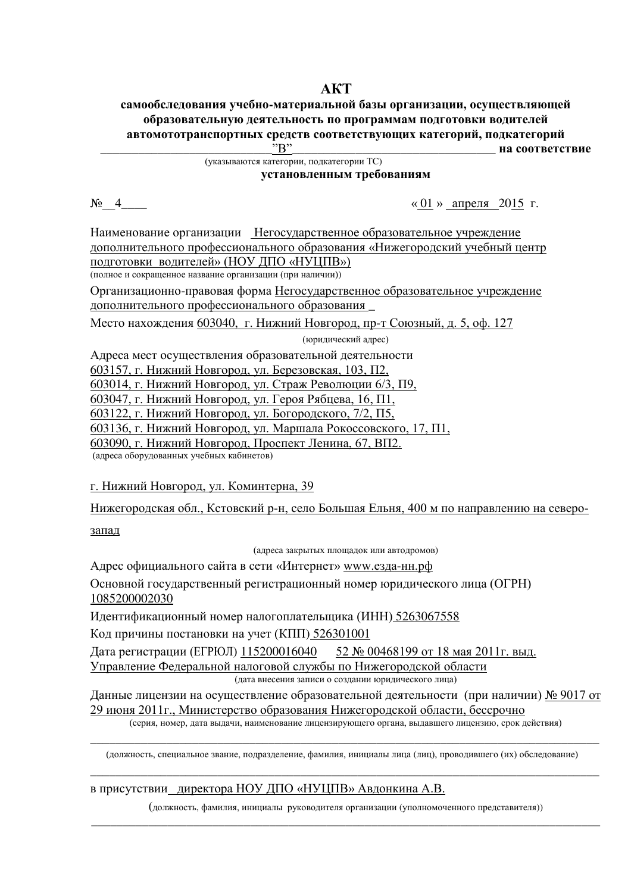# **AKT**

#### самообследования учебно-материальной базы организации, осуществляющей **• бразовательную деятельность по программам подготовки водителей автомототранспортных средств соответствующих категорий, подкатегорий**<br>• на соответст на соответствие

(указываются категории, подкатегории TC)

**УСТАНОВЛЕННЫМ ТРЕбОВАНИЯМ** 

 $\mathcal{N}_\mathcal{Q}$  4  $\ll 01$  » апреля 2015 г.

Наименование организации Негосударственное образовательное учреждение дополнительного профессионального образования «Нижегородский учебный центр подготовки водителей» (НОУ ДПО «НУЦПВ») (полное и сокрашенное название организации (при наличии))

Организационно-правовая форма Негосударственное образовательное учреждение дополнительного профессионального образования

Место нахождения 603040, г. Нижний Новгород, пр-т Союзный, д. 5, оф. 127

(юридический адрес)

Адреса мест осуществления образовательной деятельности

603157, г. Нижний Новгород, ул. Березовская, 103, П2,

603014, г. Нижний Новгород, ул. Страж Революции 6/3, П9,

603047, г. Нижний Новгород, ул. Героя Рябцева, 16, П1,

603122, г. Нижний Новгород, ул. Богородского, 7/2, П5,

603136, г. Нижний Новгород, ул. Маршала Рокоссовского, 17,  $\Pi1$ ,

603090, г. Нижний Новгород, Проспект Ленина, 67, ВП2.

(адреса оборудованных учебных кабинетов)

## г. Нижний Новгород, ул. Коминтерна, 39

Нижегородская обл., Кстовский р-н, село Большая Ельня, 400 м по направлению на северо-

запад

(адреса закрытых площадок или автодромов)

Адрес официального сайта в сети «Интернет» www.езда-нн.рф

Основной госуларственный регистрационный номер юрилического лица (ОГРН) 1085200002030

Идентификационный номер налогоплательщика (ИНН) 5263067558

Код причины постановки на учет (КПП) 526301001

Дата регистрации (ЕГРЮЛ) 115200016040 52 № 00468199 от 18 мая 2011г. выд. Управление Федеральной налоговой службы по Нижегородской области (дата внесения записи о создании юридического лица)

Данные лицензии на осуществление образовательной деятельности (при наличии) № 9017 от 29 июня 2011 г., Министерство образования Нижегородской области, бессрочно

(серия, номер, дата выдачи, наименование лицензирующего органа, выдавшего лицензию, срок действия) \_\_\_\_\_\_\_\_\_\_\_\_\_\_\_\_\_\_\_\_\_\_\_\_\_\_\_\_\_\_\_\_\_\_\_\_\_\_\_\_\_\_\_\_\_\_\_\_\_\_\_\_\_\_\_\_\_\_\_\_\_\_\_\_\_\_\_\_\_\_\_\_\_\_\_\_\_\_\_\_

(должность, специальное звание, подразделение, фамилия, инициалы лица (лиц), проводившего (их) обследование) \_\_\_\_\_\_\_\_\_\_\_\_\_\_\_\_\_\_\_\_\_\_\_\_\_\_\_\_\_\_\_\_\_\_\_\_\_\_\_\_\_\_\_\_\_\_\_\_\_\_\_\_\_\_\_\_\_\_\_\_\_\_\_\_\_\_\_\_\_\_\_\_\_\_\_\_\_\_\_\_

## в присутствии директора НОУ ДПО «НУЦПВ» Авдонкина А.В.

(должность, фамилия, инициалы руководителя организации (уполномоченного представителя)) \_\_\_\_\_\_\_\_\_\_\_\_\_\_\_\_\_\_\_\_\_\_\_\_\_\_\_\_\_\_\_\_\_\_\_\_\_\_\_\_\_\_\_\_\_\_\_\_\_\_\_\_\_\_\_\_\_\_\_\_\_\_\_\_\_\_\_\_\_\_\_\_\_\_\_\_\_\_\_\_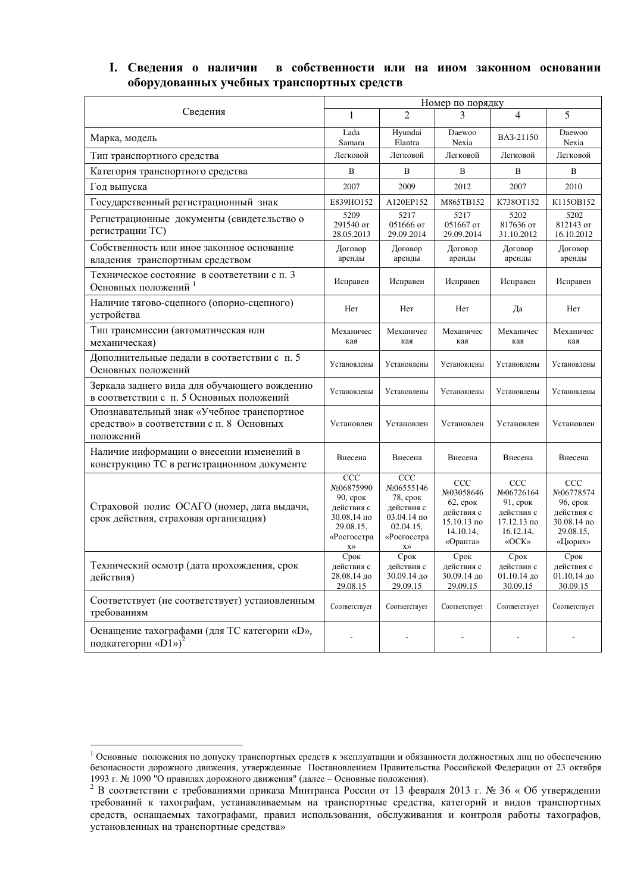## I. Сведения о наличии в собственности или на ином законном основании **• борудованных учебных транспортных средств**

|                                                                                                     | Номер по порядку                                                                                             |                                                                                                                                |                                                                                               |                                                                                               |                                                                                              |  |
|-----------------------------------------------------------------------------------------------------|--------------------------------------------------------------------------------------------------------------|--------------------------------------------------------------------------------------------------------------------------------|-----------------------------------------------------------------------------------------------|-----------------------------------------------------------------------------------------------|----------------------------------------------------------------------------------------------|--|
| Сведения                                                                                            | 1                                                                                                            | $\mathcal{D}_{\mathcal{L}}$                                                                                                    | 3                                                                                             | 4                                                                                             | 5                                                                                            |  |
| Марка, модель                                                                                       | Lada<br>Samara                                                                                               | Hyundai<br>Elantra                                                                                                             | Daewoo<br>Nexia                                                                               | BA3-21150                                                                                     | Daewoo<br>Nexia                                                                              |  |
| Тип транспортного средства                                                                          | Легковой                                                                                                     | Легковой                                                                                                                       | Легковой                                                                                      | Легковой                                                                                      | Легковой                                                                                     |  |
| Категория транспортного средства                                                                    | B                                                                                                            | B                                                                                                                              | B                                                                                             | B                                                                                             | B                                                                                            |  |
| Год выпуска                                                                                         | 2007                                                                                                         | 2009                                                                                                                           | 2012                                                                                          | 2007                                                                                          | 2010                                                                                         |  |
| Государственный регистрационный знак                                                                | E839HO152                                                                                                    | A120EP152                                                                                                                      | M865TB152                                                                                     | K738OT152                                                                                     | K115OB152                                                                                    |  |
| Регистрационные документы (свидетельство о<br>регистрации ТС)                                       | 5209<br>291540 от<br>28.05.2013                                                                              | 5217<br>051666 от<br>29.09.2014                                                                                                | 5217<br>051667 от<br>29.09.2014                                                               | 5202<br>817636 от<br>31.10.2012                                                               | 5202<br>812143 от<br>16.10.2012                                                              |  |
| Собственность или иное законное основание<br>владения транспортным средством                        | Договор<br>аренды                                                                                            | Договор<br>аренды                                                                                                              | Договор<br>аренды                                                                             | Договор<br>аренды                                                                             | Договор<br>аренды                                                                            |  |
| Техническое состояние в соответствии с п. 3<br>Основных положений                                   | Исправен                                                                                                     | Исправен                                                                                                                       | Исправен                                                                                      | Исправен                                                                                      | Исправен                                                                                     |  |
| Наличие тягово-сцепного (опорно-сцепного)<br>устройства                                             | Her                                                                                                          | Her                                                                                                                            | Her                                                                                           | Да                                                                                            | Her                                                                                          |  |
| Тип трансмиссии (автоматическая или<br>механическая)                                                | Механичес<br>кая                                                                                             | Механичес<br>кая                                                                                                               | Механичес<br>кая                                                                              | Механичес<br>кая                                                                              | Механичес<br>кая                                                                             |  |
| Дополнительные педали в соответствии с п. 5<br>Основных положений                                   | Установлены                                                                                                  | Установлены                                                                                                                    | Установлены                                                                                   | Установлены                                                                                   | Установлены                                                                                  |  |
| Зеркала заднего вида для обучающего вождению<br>в соответствии с п. 5 Основных положений            | Установлены                                                                                                  | Установлены                                                                                                                    | Установлены                                                                                   | Установлены                                                                                   | Установлены                                                                                  |  |
| Опознавательный знак «Учебное транспортное<br>средство» в соответствии с п. 8 Основных<br>положений | Установлен                                                                                                   | Установлен                                                                                                                     | Установлен                                                                                    | Установлен                                                                                    | Установлен                                                                                   |  |
| Наличие информации о внесении изменений в<br>конструкцию ТС в регистрационном документе             | Внесена                                                                                                      | Внесена                                                                                                                        | Внесена                                                                                       | Внесена                                                                                       | Внесена                                                                                      |  |
| Страховой полис ОСАГО (номер, дата выдачи,<br>срок действия, страховая организация)                 | $\overline{CC}C$<br>No06875990<br>$90$ , срок<br>действия с<br>30.08.14 по<br>29.08.15,<br>«Росгосстра<br>X) | CCC<br>No06555146<br>$78$ , срок<br>действия с<br>$03.04.14 \text{ no}$<br>02.04.15,<br>«Росгосстра<br>$\mathbf{X}\mathcal{Y}$ | <b>CCC</b><br>No03058646<br>$62$ , срок<br>действия с<br>15.10.13 по<br>14.10.14,<br>«Оранта» | CCC<br>No06726164<br>$91$ , срок<br>действия с<br>$17.12.13 \text{ no}$<br>16.12.14,<br>«OCK» | <b>CCC</b><br>No06778574<br>$96$ , срок<br>действия с<br>30.08.14 по<br>29.08.15,<br>«Цюрих» |  |
| Технический осмотр (дата прохождения, срок<br>действия)                                             | Срок<br>действия с<br>28.08.14 до<br>29.08.15                                                                | Срок<br>действия с<br>30.09.14 до<br>29.09.15                                                                                  | Срок<br>действия с<br>30.09.14 до<br>29.09.15                                                 | Срок<br>действия с<br>01.10.14 до<br>30.09.15                                                 | Срок<br>действия с<br>01.10.14 до<br>30.09.15                                                |  |
| Соответствует (не соответствует) установленным<br>требованиям                                       | Соответствует                                                                                                | Соответствует                                                                                                                  | Соответствует                                                                                 | Соответствует                                                                                 | Соответствует                                                                                |  |
| Оснащение тахографами (для ТС категории «D»,<br>подкатегории «D1») <sup>2</sup>                     |                                                                                                              |                                                                                                                                |                                                                                               |                                                                                               |                                                                                              |  |

<sup>&</sup>lt;sup>1</sup> Основные положения по допуску транспортных средств к эксплуатации и обязанности должностных лиц по обеспечению безопасности дорожного движения, утвержденные Постановлением Правительства Российской Федерации от 23 октября 1993 г. № 1090 "О правилах дорожного движения" (далее - Основные положения).

<sup>&</sup>lt;sup>2</sup> В соответствии с требованиями приказа Минтранса России от 13 февраля 2013 г. № 36 «Об утверждении требований к тахографам, устанавливаемым на транспортные средства, категорий и видов транспортных гредств, оснащаемых тахографами, правил использования, обслуживания и контроля работы тахографов, установленных на транспортные средства»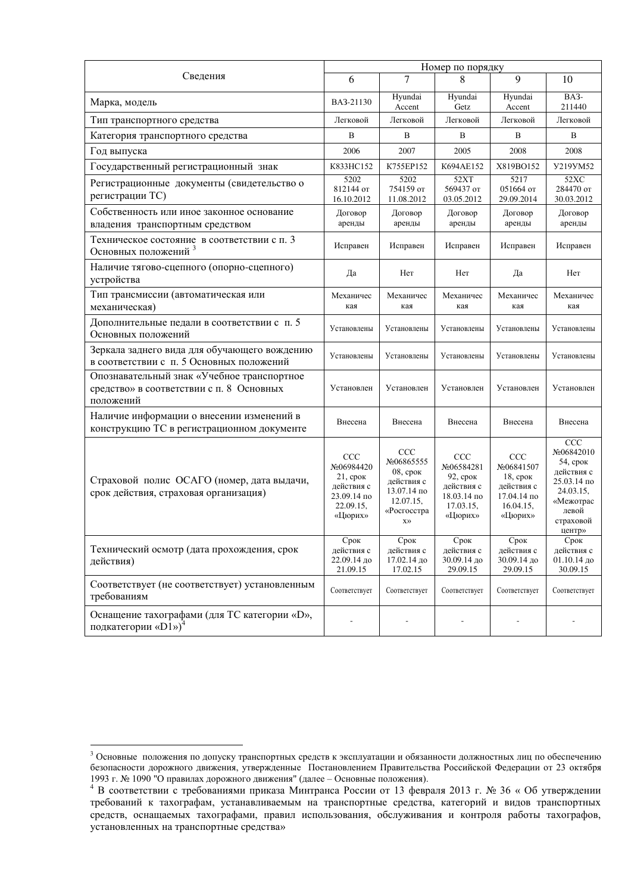|                                                                                                     | Номер по порядку                                                                             |                                                                                                                             |                                                                                                  |                                                                                              |                                                                                                                      |  |
|-----------------------------------------------------------------------------------------------------|----------------------------------------------------------------------------------------------|-----------------------------------------------------------------------------------------------------------------------------|--------------------------------------------------------------------------------------------------|----------------------------------------------------------------------------------------------|----------------------------------------------------------------------------------------------------------------------|--|
| Сведения                                                                                            | 6                                                                                            | 7                                                                                                                           | 8                                                                                                | $\mathbf{Q}$                                                                                 | 10                                                                                                                   |  |
| Марка, модель                                                                                       | BA3-21130                                                                                    | Hyundai<br>Accent                                                                                                           | Hyundai<br>Getz                                                                                  | Hyundai<br>Accent                                                                            | BA3-<br>211440                                                                                                       |  |
| Тип транспортного средства                                                                          | Легковой                                                                                     | Легковой                                                                                                                    | Легковой                                                                                         | Легковой                                                                                     | Легковой                                                                                                             |  |
| Категория транспортного средства                                                                    | B                                                                                            | B                                                                                                                           | B                                                                                                | B                                                                                            | B                                                                                                                    |  |
| Год выпуска                                                                                         | 2006                                                                                         | 2007                                                                                                                        | 2005                                                                                             | 2008                                                                                         | 2008                                                                                                                 |  |
| Государственный регистрационный знак                                                                | K833HC152                                                                                    | K755EP152                                                                                                                   | K694AE152                                                                                        | X819BO152                                                                                    | <b>Y219YM52</b>                                                                                                      |  |
| Регистрационные документы (свидетельство о<br>регистрации ТС)                                       | 5202<br>812144 от<br>16.10.2012                                                              | 5202<br>754159 от<br>11.08.2012                                                                                             | 52XT<br>569437 от<br>03.05.2012                                                                  | 5217<br>051664 от<br>29.09.2014                                                              | 52XC<br>284470 от<br>30.03.2012                                                                                      |  |
| Собственность или иное законное основание<br>владения транспортным средством                        | Договор<br>аренды                                                                            | Договор<br>аренды                                                                                                           | Договор<br>аренды                                                                                | Договор<br>аренды                                                                            | Договор<br>аренды                                                                                                    |  |
| Техническое состояние в соответствии с п. 3<br>Основных положений <sup>3</sup>                      | Исправен                                                                                     | Исправен                                                                                                                    | Исправен                                                                                         | Исправен                                                                                     | Исправен                                                                                                             |  |
| Наличие тягово-сцепного (опорно-сцепного)<br>устройства                                             | Да                                                                                           | Her                                                                                                                         | Her                                                                                              | Да                                                                                           | Her                                                                                                                  |  |
| Тип трансмиссии (автоматическая или<br>механическая)                                                | Механичес<br>кая                                                                             | Механичес<br>кая                                                                                                            | Механичес<br>кая                                                                                 | Механичес<br>кая                                                                             | Механичес<br>кая                                                                                                     |  |
| Дополнительные педали в соответствии с п. 5<br>Основных положений                                   | Установлены                                                                                  | Установлены                                                                                                                 | Установлены                                                                                      | Установлены                                                                                  | Установлены                                                                                                          |  |
| Зеркала заднего вида для обучающего вождению<br>в соответствии с п. 5 Основных положений            | Установлены                                                                                  | Установлены                                                                                                                 | Установлены                                                                                      | Установлены                                                                                  | Установлены                                                                                                          |  |
| Опознавательный знак «Учебное транспортное<br>средство» в соответствии с п. 8 Основных<br>положений | Установлен                                                                                   | Установлен                                                                                                                  | Установлен                                                                                       | Установлен                                                                                   | Установлен                                                                                                           |  |
| Наличие информации о внесении изменений в<br>конструкцию ТС в регистрационном документе             | Внесена                                                                                      | Внесена                                                                                                                     | Внесена                                                                                          | Внесена                                                                                      | Внесена                                                                                                              |  |
| Страховой полис ОСАГО (номер, дата выдачи,<br>срок действия, страховая организация)                 | <b>CCC</b><br>No06984420<br>$21$ , срок<br>действия с<br>23.09.14 по<br>22.09.15.<br>«Цюрих» | CCC<br>No06865555<br>$08$ , $cp$ <sub>O</sub> $K$<br>действия с<br>13.07.14 по<br>12.07.15,<br>«Росгосстра<br>$X$ $\rangle$ | CCC<br>No06584281<br>$92$ , срок<br>лействия с<br>$18.03.14$ $\text{no}$<br>17.03.15,<br>«Цюрих» | <b>CCC</b><br>No06841507<br>$18$ , срок<br>действия с<br>17.04.14 по<br>16.04.15.<br>«Цюрих» | CCC<br>No06842010<br>54, срок<br>действия с<br>25.03.14 по<br>24.03.15.<br>«Межотрас<br>левой<br>страховой<br>центр» |  |
| Технический осмотр (дата прохождения, срок<br>действия)                                             | Срок<br>действия с<br>22.09.14 до<br>21.09.15                                                | Срок<br>действия с<br>17.02.14 до<br>17.02.15                                                                               | Срок<br>действия с<br>30.09.14 до<br>29.09.15                                                    | Срок<br>действия с<br>30.09.14 до<br>29.09.15                                                | Срок<br>действия с<br>01.10.14 до<br>30.09.15                                                                        |  |
| Соответствует (не соответствует) установленным<br>требованиям                                       | Соответствует                                                                                | Соответствует                                                                                                               | Соответствует                                                                                    | Соответствует                                                                                | Соответствует                                                                                                        |  |
| Оснащение тахографами (для ТС категории «D»,<br>подкатегории «D1») <sup>4</sup>                     |                                                                                              |                                                                                                                             |                                                                                                  |                                                                                              |                                                                                                                      |  |

<sup>&</sup>lt;sup>3</sup> Основные положения по допуску транспортных средств к эксплуатации и обязанности должностных лиц по обеспечению безопасности дорожного движения, утвержденные Постановлением Правительства Российской Федерации от 23 октября 1993 г. № 1090 "О правилах дорожного движения" (далее - Основные положения).

<sup>&</sup>lt;sup>4</sup> В соответствии с требованиями приказа Минтранса России от 13 февраля 2013 г. № 36 «Об утверждении требований к тахографам, устанавливаемым на транспортные средства, категорий и видов транспортных тередств, оснащаемых тахографами, правил использования, обслуживания и контроля работы тахографов, установленных на транспортные средства»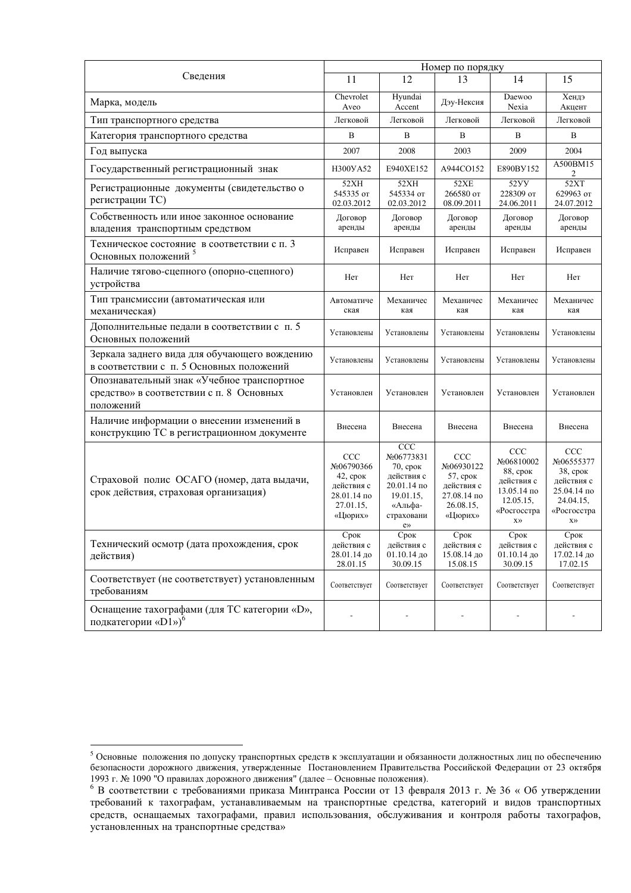|                                                                                                     | Номер по порядку                                                                                 |                                                                                                           |                                                                                              |                                                                                                         |                                                                                                                      |  |
|-----------------------------------------------------------------------------------------------------|--------------------------------------------------------------------------------------------------|-----------------------------------------------------------------------------------------------------------|----------------------------------------------------------------------------------------------|---------------------------------------------------------------------------------------------------------|----------------------------------------------------------------------------------------------------------------------|--|
| Сведения                                                                                            | 11                                                                                               | 12                                                                                                        | 13                                                                                           | 14                                                                                                      | 15                                                                                                                   |  |
| Марка, модель                                                                                       | Chevrolet<br>Aveo                                                                                | Hyundai<br>Accent                                                                                         | Дэу-Нексия                                                                                   | Daewoo<br>Nexia                                                                                         | Хендэ<br>Акцент                                                                                                      |  |
| Тип транспортного средства                                                                          | Легковой                                                                                         | Легковой                                                                                                  | Легковой                                                                                     | Легковой                                                                                                | Легковой                                                                                                             |  |
| Категория транспортного средства                                                                    | B                                                                                                | B                                                                                                         | B                                                                                            | B                                                                                                       | B                                                                                                                    |  |
| Год выпуска                                                                                         | 2007                                                                                             | 2008                                                                                                      | 2003                                                                                         | 2009                                                                                                    | 2004                                                                                                                 |  |
| Государственный регистрационный знак                                                                | H300YA52                                                                                         | E940XE152                                                                                                 | A944CO152                                                                                    | E890BY152                                                                                               | A500BM15<br>2                                                                                                        |  |
| Регистрационные документы (свидетельство о<br>регистрации ТС)                                       | 52XH<br>545335 or<br>02.03.2012                                                                  | 52XH<br>545334 от<br>02.03.2012                                                                           | 52XE<br>266580 от<br>08.09.2011                                                              | 52YY<br>228309 от<br>24.06.2011                                                                         | 52XT<br>629963 от<br>24.07.2012                                                                                      |  |
| Собственность или иное законное основание<br>владения транспортным средством                        | Договор<br>аренды                                                                                | Договор<br>аренды                                                                                         | Договор<br>аренды                                                                            | Договор<br>аренды                                                                                       | Договор<br>аренды                                                                                                    |  |
| Техническое состояние в соответствии с п. 3<br>Основных положений <sup>5</sup>                      | Исправен                                                                                         | Исправен                                                                                                  | Исправен                                                                                     | Исправен                                                                                                | Исправен                                                                                                             |  |
| Наличие тягово-сцепного (опорно-сцепного)<br>устройства                                             | Her                                                                                              | Her                                                                                                       | Her                                                                                          | Her                                                                                                     | Her                                                                                                                  |  |
| Тип трансмиссии (автоматическая или<br>механическая)                                                | Автоматиче<br>ская                                                                               | Механичес<br>кая                                                                                          | Механичес<br>кая                                                                             | Механичес<br>кая                                                                                        | Механичес<br>кая                                                                                                     |  |
| Дополнительные педали в соответствии с п. 5<br>Основных положений                                   | Установлены                                                                                      | Установлены                                                                                               | Установлены                                                                                  | Установлены                                                                                             | Установлены                                                                                                          |  |
| Зеркала заднего вида для обучающего вождению<br>в соответствии с п. 5 Основных положений            | Установлены                                                                                      | Установлены                                                                                               | Установлены                                                                                  | Установлены                                                                                             | Установлены                                                                                                          |  |
| Опознавательный знак «Учебное транспортное<br>средство» в соответствии с п. 8 Основных<br>положений | Установлен                                                                                       | Установлен                                                                                                | Установлен                                                                                   | Установлен                                                                                              | Установлен                                                                                                           |  |
| Наличие информации о внесении изменений в<br>конструкцию ТС в регистрационном документе             | Внесена                                                                                          | Внесена                                                                                                   | Внесена                                                                                      | Внесена                                                                                                 | Внесена                                                                                                              |  |
| Страховой полис ОСАГО (номер, дата выдачи,<br>срок действия, страховая организация)                 | CCC<br>No06790366<br>$42$ , срок<br>действия с<br>$28.01.14$ $\text{no}$<br>27.01.15,<br>«Цюрих» | CCC<br>No06773831<br>$70$ , срок<br>действия с<br>20.01.14 по<br>19.01.15,<br>«Альфа-<br>страховани<br>e» | <b>CCC</b><br>No06930122<br>$57$ , срок<br>действия с<br>27.08.14 по<br>26.08.15,<br>«Цюрих» | CCC<br>No06810002<br>88, срок<br>действия с<br>13.05.14 по<br>12.05.15,<br>«Росгосстра<br>$X$ $\rangle$ | CCC<br>No06555377<br>$38$ , срок<br>лействия с<br>25.04.14 по<br>24.04.15.<br>«Росгосстра<br>$\mathbf{X}\mathcal{Y}$ |  |
| Технический осмотр (дата прохождения, срок<br>действия)                                             | Срок<br>действия с<br>28.01.14 до<br>28.01.15                                                    | Срок<br>действия с<br>01.10.14 до<br>30.09.15                                                             | Срок<br>действия с<br>15.08.14 до<br>15.08.15                                                | Срок<br>действия с<br>01.10.14 до<br>30.09.15                                                           | Срок<br>действия с<br>17.02.14 до<br>17.02.15                                                                        |  |
| Соответствует (не соответствует) установленным<br>требованиям                                       | Соответствует                                                                                    | Соответствует                                                                                             | Соответствует                                                                                | Соответствует                                                                                           | Соответствует                                                                                                        |  |
| Оснащение тахографами (для TC категории «D»,<br>подкатегории «D1») <sup>6</sup>                     |                                                                                                  |                                                                                                           |                                                                                              |                                                                                                         |                                                                                                                      |  |

<sup>&</sup>lt;sup>5</sup> Основные положения по допуску транспортных средств к эксплуатации и обязанности должностных лиц по обеспечению безопасности дорожного движения, утвержденные Постановлением Правительства Российской Федерации от 23 октября 1993 г. № 1090 "О правилах дорожного движения" (далее - Основные положения).

<sup>&</sup>lt;sup>6</sup> В соответствии с требованиями приказа Минтранса России от 13 февраля 2013 г. № 36 «Об утверждении требований к тахографам, устанавливаемым на транспортные средства, категорий и видов транспортных тередств, оснащаемых тахографами, правил использования, обслуживания и контроля работы тахографов, • становленных на транспортные средства»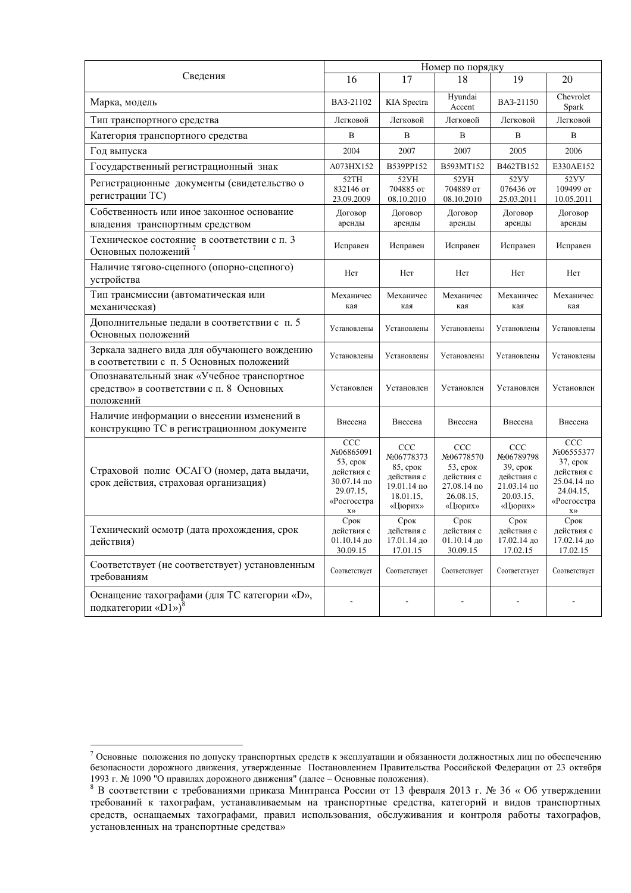|                                                                                                     | Номер по порядку                                                                                        |                                                                                    |                                                                                       |                                                                                           |                                                                                                         |  |
|-----------------------------------------------------------------------------------------------------|---------------------------------------------------------------------------------------------------------|------------------------------------------------------------------------------------|---------------------------------------------------------------------------------------|-------------------------------------------------------------------------------------------|---------------------------------------------------------------------------------------------------------|--|
| Сведения                                                                                            | 16                                                                                                      | 17                                                                                 | 18                                                                                    | 19                                                                                        | 20                                                                                                      |  |
| Марка, модель                                                                                       | BA3-21102                                                                                               | KIA Spectra                                                                        | Hyundai<br>Accent                                                                     | BA3-21150                                                                                 | Chevrolet<br>Spark                                                                                      |  |
| Тип транспортного средства                                                                          | Легковой                                                                                                | Легковой                                                                           | Легковой                                                                              | Легковой                                                                                  | Легковой                                                                                                |  |
| Категория транспортного средства                                                                    | B                                                                                                       | B                                                                                  | B                                                                                     | B                                                                                         | B                                                                                                       |  |
| Год выпуска                                                                                         | 2004                                                                                                    | 2007                                                                               | 2007                                                                                  | 2005                                                                                      | 2006                                                                                                    |  |
| Государственный регистрационный знак                                                                | A073HX152                                                                                               | B539PP152                                                                          | B593MT152                                                                             | B462TB152                                                                                 | E330AE152                                                                                               |  |
| Регистрационные документы (свидетельство о<br>регистрации ТС)                                       | 52TH<br>832146 от<br>23.09.2009                                                                         | 52 <sub>yH</sub><br>704885 от<br>08.10.2010                                        | 52 <sub>yH</sub><br>704889 от<br>08.10.2010                                           | 52YY<br>076436 от<br>25.03.2011                                                           | 52YY<br>109499 от<br>10.05.2011                                                                         |  |
| Собственность или иное законное основание<br>владения транспортным средством                        | Договор<br>аренды                                                                                       | Договор<br>аренды                                                                  | Договор<br>аренды                                                                     | Договор<br>аренды                                                                         | Договор<br>аренды                                                                                       |  |
| Техническое состояние в соответствии с п. 3<br>Основных положений <sup>7</sup>                      | Исправен                                                                                                | Исправен                                                                           | Исправен                                                                              | Исправен                                                                                  | Исправен                                                                                                |  |
| Наличие тягово-сцепного (опорно-сцепного)<br>устройства                                             | Her                                                                                                     | Her                                                                                | Her                                                                                   | Her                                                                                       | Her                                                                                                     |  |
| Тип трансмиссии (автоматическая или<br>механическая)                                                | Механичес<br>кая                                                                                        | Механичес<br>кая                                                                   | Механичес<br>кая                                                                      | Механичес<br>кая                                                                          | Механичес<br>кая                                                                                        |  |
| Дополнительные педали в соответствии с п. 5<br>Основных положений                                   | Установлены                                                                                             | Установлены                                                                        | Установлены                                                                           | Установлены                                                                               | Установлены                                                                                             |  |
| Зеркала заднего вида для обучающего вождению<br>в соответствии с п. 5 Основных положений            | Установлены                                                                                             | Установлены                                                                        | Установлены                                                                           | Установлены                                                                               | Установлены                                                                                             |  |
| Опознавательный знак «Учебное транспортное<br>средство» в соответствии с п. 8 Основных<br>положений | Установлен                                                                                              | Установлен                                                                         | Установлен                                                                            | Установлен                                                                                | Установлен                                                                                              |  |
| Наличие информации о внесении изменений в<br>конструкцию ТС в регистрационном документе             | Внесена                                                                                                 | Внесена                                                                            | Внесена                                                                               | Внесена                                                                                   | Внесена                                                                                                 |  |
| Страховой полис ОСАГО (номер, дата выдачи,<br>срок действия, страховая организация)                 | CCC<br>No06865091<br>53, срок<br>действия с<br>30.07.14 по<br>29.07.15,<br>«Росгосстра<br>$X$ $\rangle$ | CCC<br>No06778373<br>85, срок<br>лействия с<br>19.01.14 по<br>18.01.15,<br>«Цюрих» | CCC<br>No06778570<br>$53$ , срок<br>действия с<br>27.08.14 по<br>26.08.15,<br>«Цюрих» | <b>CCC</b><br>No06789798<br>39, срок<br>действия с<br>21.03.14 по<br>20.03.15,<br>«Цюрих» | CCC<br>No06555377<br>37, срок<br>действия с<br>25.04.14 по<br>24.04.15,<br>«Росгосстра<br>$X$ $\rangle$ |  |
| Технический осмотр (дата прохождения, срок<br>действия)                                             | Срок<br>действия с<br>01.10.14 до<br>30.09.15                                                           | Срок<br>действия с<br>17.01.14 до<br>17.01.15                                      | Срок<br>действия с<br>01.10.14 до<br>30.09.15                                         | Срок<br>действия с<br>17.02.14 до<br>17.02.15                                             | Срок<br>действия с<br>17.02.14 до<br>17.02.15                                                           |  |
| Соответствует (не соответствует) установленным<br>требованиям                                       | Соответствует                                                                                           | Соответствует                                                                      | Соответствует                                                                         | Соответствует                                                                             | Соответствует                                                                                           |  |
| Оснащение тахографами (для ТС категории «D»,<br>подкатегории « $D1$ ») <sup>8</sup>                 | $\overline{\phantom{a}}$                                                                                |                                                                                    |                                                                                       |                                                                                           |                                                                                                         |  |

 $^7$  Основные положения по допуску транспортных средств к эксплуатации и обязанности должностных лиц по обеспечению безопасности дорожного движения, утвержденные Постановлением Правительства Российской Федерации от 23 октября 1993 г. № 1090 "О правилах дорожного движения" (далее - Основные положения).

<sup>&</sup>lt;sup>8</sup> В соответствии с требованиями приказа Минтранса России от 13 февраля 2013 г. № 36 «Об утверждении требований к тахографам, устанавливаемым на транспортные средства, категорий и видов транспортных тередств, оснащаемых тахографами, правил использования, обслуживания и контроля работы тахографов, • становленных на транспортные средства»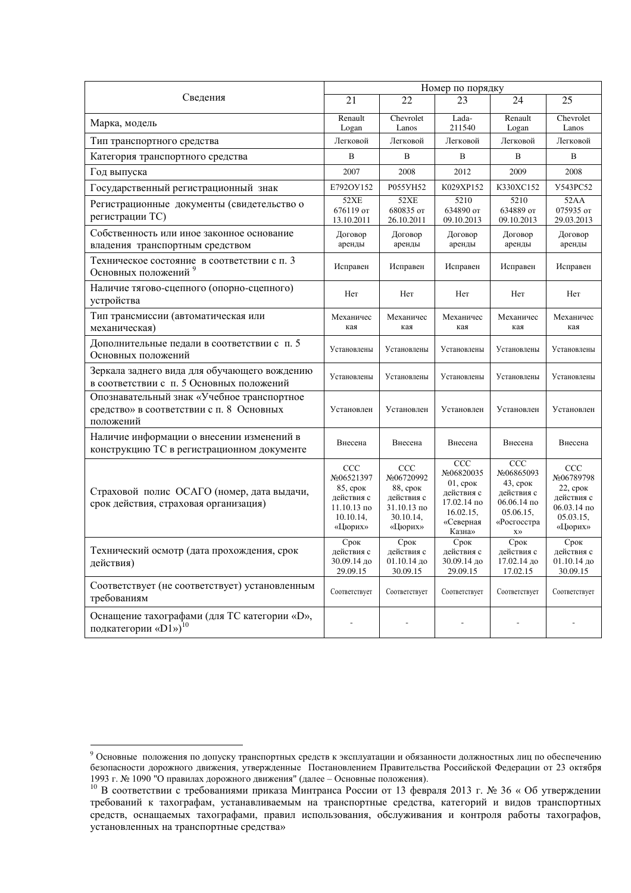|                                                                                                     | Номер по порядку                                                                             |                                                                                    |                                                                                                   |                                                                                                                     |                                                                                                |  |
|-----------------------------------------------------------------------------------------------------|----------------------------------------------------------------------------------------------|------------------------------------------------------------------------------------|---------------------------------------------------------------------------------------------------|---------------------------------------------------------------------------------------------------------------------|------------------------------------------------------------------------------------------------|--|
| Сведения                                                                                            | 21                                                                                           | 22                                                                                 | 23                                                                                                | 24                                                                                                                  | 25                                                                                             |  |
| Марка, модель                                                                                       | Renault<br>Logan                                                                             | Chevrolet<br>Lanos                                                                 | Lada-<br>211540                                                                                   | Renault<br>Logan                                                                                                    | Chevrolet<br>Lanos                                                                             |  |
| Тип транспортного средства                                                                          | Легковой                                                                                     | Легковой                                                                           | Легковой                                                                                          | Легковой                                                                                                            | Легковой                                                                                       |  |
| Категория транспортного средства                                                                    | $\mathbf B$                                                                                  | B                                                                                  | B                                                                                                 | $\, {\bf B}$                                                                                                        | B                                                                                              |  |
| Год выпуска                                                                                         | 2007                                                                                         | 2008                                                                               | 2012                                                                                              | 2009                                                                                                                | 2008                                                                                           |  |
| Государственный регистрационный знак                                                                | E792OV152                                                                                    | P055YH52                                                                           | K029XP152                                                                                         | K330XC152                                                                                                           | <b>Y543PC52</b>                                                                                |  |
| Регистрационные документы (свидетельство о<br>регистрации ТС)                                       | <b>52XE</b><br>676119 от<br>13.10.2011                                                       | <b>52XE</b><br>680835 от<br>26.10.2011                                             | 5210<br>634890 от<br>09.10.2013                                                                   | 5210<br>634889 от<br>09.10.2013                                                                                     | 52AA<br>075935 от<br>29.03.2013                                                                |  |
| Собственность или иное законное основание<br>владения транспортным средством                        | Договор<br>аренды                                                                            | Договор<br>аренды                                                                  | Договор<br>аренды                                                                                 | Договор<br>аренды                                                                                                   | Договор<br>аренды                                                                              |  |
| Техническое состояние в соответствии с п. 3<br>Основных положений <sup>9</sup>                      | Исправен                                                                                     | Исправен                                                                           | Исправен                                                                                          | Исправен                                                                                                            | Исправен                                                                                       |  |
| Наличие тягово-сцепного (опорно-сцепного)<br>устройства                                             | Her                                                                                          | Her                                                                                | Her                                                                                               | Her                                                                                                                 | Her                                                                                            |  |
| Тип трансмиссии (автоматическая или<br>механическая)                                                | Механичес<br>кая                                                                             | Механичес<br>кая                                                                   | Механичес<br>кая                                                                                  | Механичес<br>кая                                                                                                    | Механичес<br>кая                                                                               |  |
| Дополнительные педали в соответствии с п. 5<br>Основных положений                                   | Установлены                                                                                  | Установлены                                                                        | Установлены                                                                                       | Установлены                                                                                                         | Установлены                                                                                    |  |
| Зеркала заднего вида для обучающего вождению<br>в соответствии с п. 5 Основных положений            | Установлены                                                                                  | Установлены                                                                        | Установлены                                                                                       | Установлены                                                                                                         | Установлены                                                                                    |  |
| Опознавательный знак «Учебное транспортное<br>средство» в соответствии с п. 8 Основных<br>положений | Установлен                                                                                   | Установлен                                                                         | Установлен                                                                                        | Установлен                                                                                                          | Установлен                                                                                     |  |
| Наличие информации о внесении изменений в<br>конструкцию ТС в регистрационном документе             | Внесена                                                                                      | Внесена                                                                            | Внесена                                                                                           | Внесена                                                                                                             | Внесена                                                                                        |  |
| Страховой полис ОСАГО (номер, дата выдачи,<br>срок действия, страховая организация)                 | CCC<br>No06521397<br>85, срок<br>действия с<br>$11.10.13 \text{ no}$<br>10.10.14,<br>«Цюрих» | CCC<br>No06720992<br>88, срок<br>действия с<br>31.10.13 по<br>30.10.14,<br>«Цюрих» | CCC<br>No06820035<br>$01$ , срок<br>действия с<br>17.02.14 по<br>16.02.15,<br>«Северная<br>Казна» | CCC<br>No06865093<br>$43$ , срок<br>действия с<br>$06.06.14$ по<br>05.06.15,<br>«Росгосстра<br>$\chi\rangle\rangle$ | <b>CCC</b><br>No06789798<br>$22$ , срок<br>действия с<br>$06.03.14$ no<br>05.03.15.<br>«Цюрих» |  |
| Технический осмотр (дата прохождения, срок<br>действия)                                             | Срок<br>действия с<br>30.09.14 до<br>29.09.15                                                | Срок<br>действия с<br>01.10.14 до<br>30.09.15                                      | Срок<br>действия с<br>30.09.14 до<br>29.09.15                                                     | Срок<br>действия с<br>17.02.14 до<br>17.02.15                                                                       | Срок<br>действия с<br>01.10.14 до<br>30.09.15                                                  |  |
| Соответствует (не соответствует) установленным<br>требованиям                                       | Соответствует                                                                                | Соответствует                                                                      | Соответствует                                                                                     | Соответствует                                                                                                       | Соответствует                                                                                  |  |
| Оснащение тахографами (для ТС категории «D»,<br>подкатегории «D1») <sup>10</sup>                    |                                                                                              |                                                                                    |                                                                                                   |                                                                                                                     |                                                                                                |  |

<sup>&</sup>lt;sup>9</sup> Основные положения по допуску транспортных средств к эксплуатации и обязанности должностных лиц по обеспечению безопасности дорожного движения, утвержденные Постановлением Правительства Российской Федерации от 23 октября 1993 г. № 1090 "О правилах дорожного движения" (далее - Основные положения).

<sup>&</sup>lt;sup>10</sup> В соответствии с требованиями приказа Минтранса России от 13 февраля 2013 г. № 36 «Об утверждении требований к тахографам, устанавливаемым на транспортные средства, категорий и видов транспортных тередств, оснащаемых тахографами, правил использования, обслуживания и контроля работы тахографов, • становленных на транспортные средства»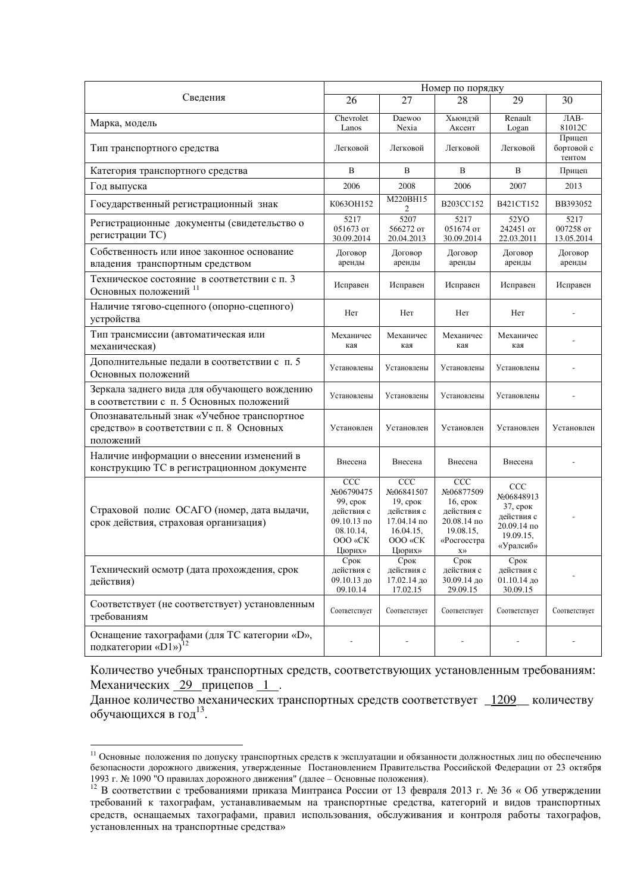|                                                                                                     | Номер по порядку                                                                                            |                                                                                                 |                                                                                                                        |                                                                                      |                                 |  |
|-----------------------------------------------------------------------------------------------------|-------------------------------------------------------------------------------------------------------------|-------------------------------------------------------------------------------------------------|------------------------------------------------------------------------------------------------------------------------|--------------------------------------------------------------------------------------|---------------------------------|--|
| Сведения                                                                                            | 26                                                                                                          | 27                                                                                              | 28                                                                                                                     | 29                                                                                   | 30                              |  |
| Марка, модель                                                                                       | Chevrolet<br>Lanos                                                                                          | Daewoo<br>Nexia                                                                                 | Хьюндэй<br>Аксент                                                                                                      | Renault<br>Logan                                                                     | J <sub>AB</sub><br>81012C       |  |
| Тип транспортного средства                                                                          | Легковой                                                                                                    | Легковой                                                                                        | Легковой                                                                                                               | Легковой                                                                             | Прицеп<br>бортовой с<br>тентом  |  |
| Категория транспортного средства                                                                    | B                                                                                                           | B                                                                                               | B                                                                                                                      | B                                                                                    | Прицеп                          |  |
| Год выпуска                                                                                         | 2006                                                                                                        | 2008                                                                                            | 2006                                                                                                                   | 2007                                                                                 | 2013                            |  |
| Государственный регистрационный знак                                                                | K063OH152                                                                                                   | M220BH15<br>2                                                                                   | B203CC152                                                                                                              | B421CT152                                                                            | BB393052                        |  |
| Регистрационные документы (свидетельство о<br>регистрации ТС)                                       | 5217<br>051673 от<br>30.09.2014                                                                             | 5207<br>566272 от<br>20.04.2013                                                                 | 5217<br>051674 от<br>30.09.2014                                                                                        | 52 <sub>Y</sub><br>242451 or<br>22.03.2011                                           | 5217<br>007258 от<br>13.05.2014 |  |
| Собственность или иное законное основание<br>владения транспортным средством                        | Договор<br>аренды                                                                                           | Договор<br>аренды                                                                               | Договор<br>аренды                                                                                                      | Договор<br>аренды                                                                    | Договор<br>аренды               |  |
| Техническое состояние в соответствии с п. 3<br>Основных положений 11                                | Исправен                                                                                                    | Исправен                                                                                        | Исправен                                                                                                               | Исправен                                                                             | Исправен                        |  |
| Наличие тягово-сцепного (опорно-сцепного)<br>устройства                                             | Her                                                                                                         | Her                                                                                             | Her                                                                                                                    | Her                                                                                  |                                 |  |
| Тип трансмиссии (автоматическая или<br>механическая)                                                | Механичес<br>кая                                                                                            | Механичес<br>кая                                                                                | Механичес<br>кая                                                                                                       | Механичес<br>кая                                                                     |                                 |  |
| Дополнительные педали в соответствии с п. 5<br>Основных положений                                   | Установлены                                                                                                 | Установлены                                                                                     | Установлены                                                                                                            | Установлены                                                                          |                                 |  |
| Зеркала заднего вида для обучающего вождению<br>в соответствии с п. 5 Основных положений            | Установлены                                                                                                 | Установлены                                                                                     | Установлены                                                                                                            | Установлены                                                                          |                                 |  |
| Опознавательный знак «Учебное транспортное<br>средство» в соответствии с п. 8 Основных<br>положений | Установлен                                                                                                  | Установлен                                                                                      | Установлен                                                                                                             | Установлен                                                                           | Установлен                      |  |
| Наличие информации о внесении изменений в<br>конструкцию ТС в регистрационном документе             | Внесена                                                                                                     | Внесена                                                                                         | Внесена                                                                                                                | Внесена                                                                              |                                 |  |
| Страховой полис ОСАГО (номер, дата выдачи,<br>срок действия, страховая организация)                 | $\overline{CC}C$<br>No06790475<br>99, срок<br>лействия с<br>$09.10.13$ по<br>08.10.14,<br>OOO «CK<br>Цюрих» | CCC<br>No06841507<br>$19$ , срок<br>действия с<br>17.04.14 по<br>16.04.15,<br>OOO «CK<br>Цюрих» | CCC<br>No06877509<br>$16$ , $cp$ OK<br>действия с<br>20.08.14 по<br>19.08.15,<br>«Росгосстра<br>$\chi\rangle\!\rangle$ | CCC<br>No06848913<br>37, срок<br>лействия с<br>20.09.14 по<br>19.09.15,<br>«Уралсиб» |                                 |  |
| Технический осмотр (дата прохождения, срок<br>действия)                                             | Срок<br>действия с<br>09.10.13 до<br>09.10.14                                                               | Срок<br>действия с<br>17.02.14 до<br>17.02.15                                                   | Срок<br>действия с<br>30.09.14 до<br>29.09.15                                                                          | Срок<br>действия с<br>01.10.14 до<br>30.09.15                                        |                                 |  |
| Соответствует (не соответствует) установленным<br>требованиям                                       | Соответствует                                                                                               | Соответствует                                                                                   | Соответствует                                                                                                          | Соответствует                                                                        | Соответствует                   |  |
| Оснащение тахографами (для TC категории «D»,<br>подкатегории «D1») <sup>12</sup>                    |                                                                                                             |                                                                                                 |                                                                                                                        |                                                                                      |                                 |  |

Количество учебных транспортных средств, соответствующих установленным требованиям: Механических 29 прицепов 1.

Данное количество механических транспортных средств соответствует \_1209\_ количеству обучающихся в год $^{13}$ .

 $^{11}$  Основные положения по допуску транспортных средств к эксплуатации и обязанности должностных лиц по обеспечению безопасности дорожного движения, утвержденные Постановлением Правительства Российской Федерации от 23 октября 1993 г. № 1090 "О правилах дорожного движения" (далее - Основные положения).

<sup>&</sup>lt;sup>12</sup> В соответствии с требованиями приказа Минтранса России от 13 февраля 2013 г. № 36 «Об утверждении требований к тахографам, устанавливаемым на транспортные средства, категорий и видов транспортных гредств, оснащаемых тахографами, правил использования, обслуживания и контроля работы тахографов, установленных на транспортные средства»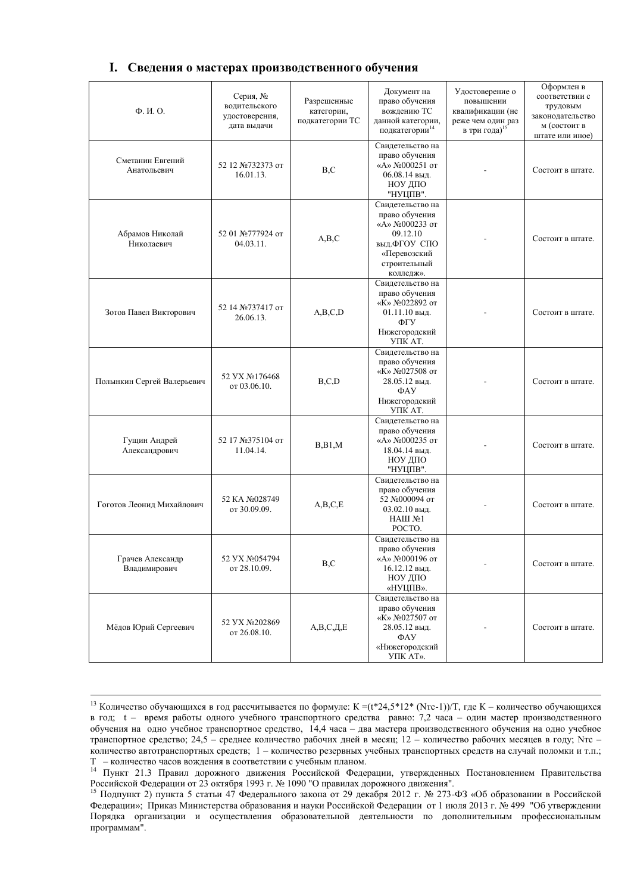#### I. Сведения о мастерах производственного обучения

| $\Phi$ . $H$ . $O$ .             | Серия, №<br>водительского<br>удостоверения,<br>дата выдачи | Разрешенные<br>категории,<br>подкатегории ТС | Документ на<br>право обучения<br>вождению ТС<br>данной категории,<br>подкатегории <sup>14</sup>                                | Удостоверение о<br>повышении<br>квалификации (не<br>реже чем один раз<br>в три года) <sup>15</sup> | Оформлен в<br>соответствии с<br>трудовым<br>законодательство<br>м (состоит в<br>штате или иное) |
|----------------------------------|------------------------------------------------------------|----------------------------------------------|--------------------------------------------------------------------------------------------------------------------------------|----------------------------------------------------------------------------------------------------|-------------------------------------------------------------------------------------------------|
| Сметанин Евгений<br>Анатольевич  | 52 12 №732373 от<br>16.01.13.                              | B, C                                         | Свидетельство на<br>право обучения<br>«A» №000251 от<br>06.08.14 выд.<br>НОУ ДПО<br>"НУЦПВ".                                   |                                                                                                    | Состоит в штате.                                                                                |
| Абрамов Николай<br>Николаевич    | 52 01 №777924 от<br>04.03.11.                              | A,B,C                                        | Свидетельство на<br>право обучения<br>«А» №000233 от<br>09.12.10<br>выд. ФГОУ СПО<br>«Перевозский<br>строительный<br>колледж». |                                                                                                    | Состоит в штате.                                                                                |
| Зотов Павел Викторович           | 52 14 №737417 от<br>26.06.13.                              | A,B,C,D                                      | Свидетельство на<br>право обучения<br>«K» №022892 от<br>01.11.10 выд.<br>ФГУ<br>Нижегородский<br>УПК АТ.                       |                                                                                                    | Состоит в штате.                                                                                |
| Полынкин Сергей Валерьевич       | 52 YX №176468<br>от 03.06.10.                              | B, C, D                                      | Свидетельство на<br>право обучения<br>«K» №027508 от<br>28.05.12 выл.<br>ФАУ<br>Нижегородский<br>УПК AT.                       |                                                                                                    | Состоит в штате.                                                                                |
| Гущин Андрей<br>Александрович    | 52 17 №375104 от<br>11.04.14.                              | B, B1, M                                     | Свидетельство на<br>право обучения<br>«A» №000235 от<br>18.04.14 выд.<br>НОУ ДПО<br>"НУЦПВ".                                   |                                                                                                    | Состоит в штате.                                                                                |
| Гоготов Леонид Михайлович        | 52 KA No028749<br>от 30.09.09.                             | A,B,C,E                                      | Свидетельство на<br>право обучения<br>52 №000094 от<br>03.02.10 выд.<br>HAIII №1<br>POCTO.                                     |                                                                                                    | Состоит в штате.                                                                                |
| Грачев Александр<br>Владимирович | 52 YX №054794<br>от 28.10.09.                              | B,C                                          | Свидетельство на<br>право обучения<br>«А» №000196 от<br>16.12.12 выд.<br>НОУ ДПО<br>«НУЦПВ».                                   |                                                                                                    | Состоит в штате.                                                                                |
| Мёдов Юрий Сергеевич             | 52 VX No202869<br>от 26.08.10.                             | $A,B,C,\!\overline{A},\!\overline{E}$        | Свидетельство на<br>право обучения<br>«K» №027507 от<br>28.05.12 выд.<br>$\Phi$ AY<br>«Нижегородский<br>УПК АТ».               |                                                                                                    | Состоит в штате.                                                                                |

<sup>-</sup><sup>13</sup> Количество обучающихся в год рассчитывается по формуле: К =(t\*24,5\*12\* (Nтс-1))/Т, где К - количество обучающихся в год; t - время работы одного учебного транспортного средства равно: 7,2 часа - один мастер производственного обучения на одно учебное транспортное средство, 14,4 часа - два мастера производственного обучения на одно учебное транспортное средство; 24,5 - среднее количество рабочих дней в месяц; 12 - количество рабочих месяцев в году; Nтс холичество автотранспортных средств; 1 - количество резервных учебных транспортных средств на случай поломки и т.п.; T - количество часов вождения в соответствии с учебным планом.

<sup>&</sup>lt;sup>14</sup> Пункт 21.3 Правил дорожного движения Российской Федерации, утвержденных Постановлением Правительства Российской Федерации от 23 октября 1993 г. № 1090 "О правилах дорожного движения".

<sup>&</sup>lt;sup>15</sup> Подпункт 2) пункта 5 статьи 47 Федерального закона от 29 декабря 2012 г. № 273-ФЗ «Об образовании в Российской Федерации»; Приказ Министерства образования и науки Российской Федерации от 1 июля 2013 г. № 499 "Об утверждении Порядка организации и осуществления образовательной деятельности по дополнительным профессиональным программам".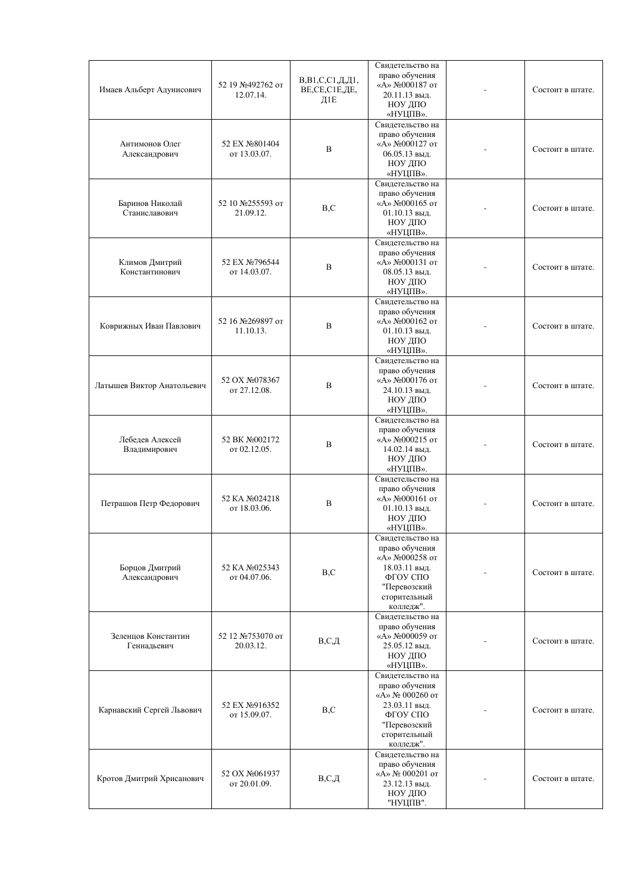| Имаев Альберт Адунисович           | 52 19 №492762 от<br>12.07.14.  | $B, B1, C, C1, \underline{\mu}, \underline{\mu}1,$<br>BE,CE,C1E,ДE,<br>Д1 <sub>Е</sub> | Свидетельство на<br>право обучения<br>«А» №000187 от<br>20.11.13 выл.<br>НОУ ДПО<br>«НУЦПВ».                                    | Состоит в штате. |
|------------------------------------|--------------------------------|----------------------------------------------------------------------------------------|---------------------------------------------------------------------------------------------------------------------------------|------------------|
| Антимонов Олег<br>Александрович    | 52 EX No801404<br>от 13.03.07. | B                                                                                      | Свидетельство на<br>право обучения<br>«А» №000127 от<br>$06.05.13$ выд.<br>НОУ ДПО<br>«НУЦПВ».                                  | Состоит в штате. |
| Баринов Николай<br>Станиславович   | 52 10 №255593 от<br>21.09.12.  | B, C                                                                                   | Свидетельство на<br>право обучения<br>«А» №000165 от<br>$01.10.13$ выл.<br>НОУ ДПО<br>«НУЦПВ».                                  | Состоит в штате. |
| Климов Дмитрий<br>Константинович   | 52 EX No796544<br>от 14.03.07. | B                                                                                      | Свидетельство на<br>право обучения<br>«А» №000131 от<br>08.05.13 выд.<br>НОУ ДПО<br>«НУЦПВ».                                    | Состоит в штате. |
| Коврижных Иван Павлович            | 52 16 №269897 от<br>11.10.13.  | B                                                                                      | Свидетельство на<br>право обучения<br>«A» №000162 от<br>01.10.13 выд.<br>НОУ ДПО<br>«НУЦПВ».                                    | Состоит в штате. |
| Латышев Виктор Анатольевич         | 52 OX No078367<br>от 27.12.08. | B                                                                                      | Свидетельство на<br>право обучения<br>«A» №000176 от<br>24.10.13 выд.<br>НОУ ДПО<br>«НУЦПВ».                                    | Состоит в штате. |
| Лебедев Алексей<br>Владимирович    | 52 BK No002172<br>от 02.12.05. | B                                                                                      | Свидетельство на<br>право обучения<br>«A» Nº000215 от<br>14.02.14 выд.<br>НОУ ДПО<br>«НУЦПВ».                                   | Состоит в штате. |
| Петрашов Петр Федорович            | 52 KA No024218<br>от 18.03.06. | B                                                                                      | Свидетельство на<br>право обучения<br>«А» №000161 от<br>$01.10.13$ выд.<br>НОУ ДПО<br>«НУЦПВ».                                  | Состоит в штате. |
| Борцов Дмитрий<br>Александрович    | 52 KA No025343<br>от 04.07.06. | B, C                                                                                   | Свидетельство на<br>право обучения<br>«A» No000258 or<br>18.03.11 выд.<br>ФГОУ СПО<br>"Перевозский<br>сторительный<br>колледж". | Состоит в штате. |
| Зеленцов Константин<br>Геннадьевич | 52 12 №753070 от<br>20.03.12.  | $B, C, \Pi$                                                                            | Свидетельство на<br>право обучения<br>«A» №000059 от<br>25.05.12 выд.<br>НОУ ДПО<br>«НУЦПВ».                                    | Состоит в штате. |
| Карнавский Сергей Львович          | 52 EX No916352<br>от 15.09.07. | B, C                                                                                   | Свидетельство на<br>право обучения<br>«А» № 000260 от<br>23.03.11 выд.<br>ФГОУ СПО<br>"Перевозский<br>сторительный<br>колледж". | Состоит в штате. |
| Кротов Дмитрий Хрисанович          | 52 OX No061937<br>от 20.01.09. | B, C, H                                                                                | Свидетельство на<br>право обучения<br>«А» № 000201 от<br>23.12.13 выд.<br>НОУ ДПО<br>"НУЦПВ".                                   | Состоит в штате. |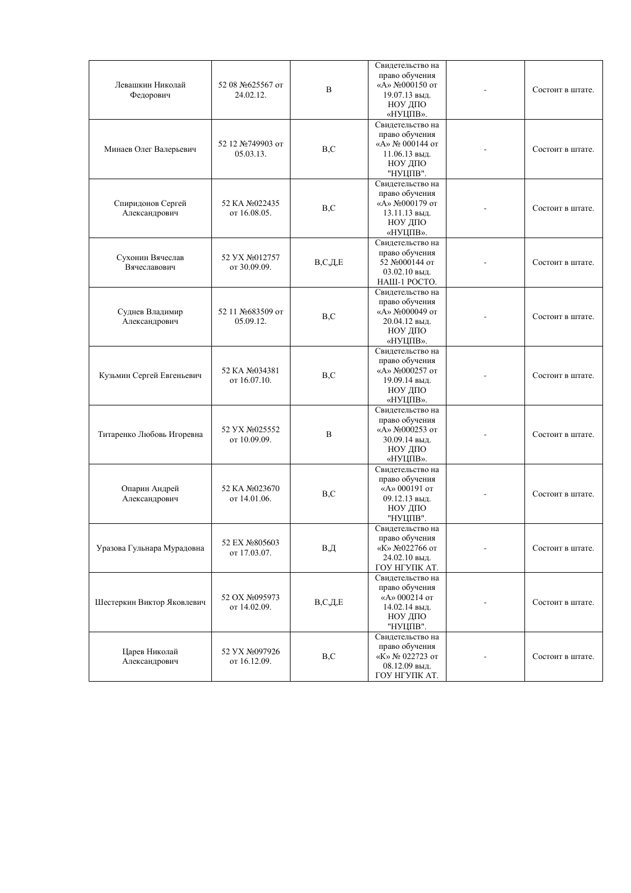| Левашкин Николай<br>Федорович      | 52 08 №625567 от<br>24.02.12.  | B          | Свидетельство на<br>право обучения<br>«А» №000150 от<br>19.07.13 выд.<br>НОУ ДПО<br>«НУЦПВ».  | Состоит в штате. |
|------------------------------------|--------------------------------|------------|-----------------------------------------------------------------------------------------------|------------------|
| Минаев Олег Валерьевич             | 52 12 №749903 от<br>05.03.13.  | B, C       | Свидетельство на<br>право обучения<br>«А» № 000144 от<br>11.06.13 выд.<br>НОУ ДПО<br>"НУЦПВ". | Состоит в штате. |
| Спиридонов Сергей<br>Александрович | 52 KA No022435<br>от 16.08.05. | B, C       | Свидетельство на<br>право обучения<br>«A» №000179 от<br>13.11.13 выд.<br>НОУ ДПО<br>«НУЦПВ».  | Состоит в штате. |
| Сухонин Вячеслав<br>Вячеславович   | 52 YX No012757<br>от 30.09.09. | B, C, A, E | Свидетельство на<br>право обучения<br>52 №000144 от<br>03.02.10 выд.<br>НАШ-1 РОСТО.          | Состоит в штате. |
| Суднев Владимир<br>Александрович   | 52 11 №683509 от<br>05.09.12.  | B, C       | Свидетельство на<br>право обучения<br>«А» №000049 от<br>20.04.12 выд.<br>НОУ ДПО<br>«НУЦПВ».  | Состоит в штате. |
| Кузьмин Сергей Евгеньевич          | 52 KA No034381<br>от 16.07.10. | B, C       | Свидетельство на<br>право обучения<br>«А» №000257 от<br>19.09.14 выд.<br>НОУ ДПО<br>«НУЦПВ».  | Состоит в штате. |
| Титаренко Любовь Игоревна          | 52 VX No025552<br>от 10.09.09. | B          | Свидетельство на<br>право обучения<br>«A» №000253 от<br>30.09.14 выд.<br>НОУ ДПО<br>«НУЦПВ».  | Состоит в штате. |
| Опарин Андрей<br>Александрович     | 52 KA No023670<br>от 14.01.06. | B, C       | Свидетельство на<br>право обучения<br>«A» 000191 от<br>09.12.13 выд.<br>НОУ ДПО<br>"НУЦПВ".   | Состоит в штате. |
| Уразова Гульнара Мурадовна         | 52 EX No805603<br>от 17.03.07. | B,Д        | Свидетельство на<br>право обучения<br>«К» №022766 от<br>24.02.10 выд.<br>ГОУ НГУПК АТ.        | Состоит в штате. |
| Шестеркин Виктор Яковлевич         | 52 OX No095973<br>от 14.02.09. | B, C, A, E | Свилетельство на<br>право обучения<br>«А» 000214 от<br>14.02.14 выд.<br>НОУ ДПО<br>"НУЦПВ".   | Состоит в штате. |
| Царев Николай<br>Александрович     | 52 YX No097926<br>от 16.12.09. | B,C        | Свидетельство на<br>право обучения<br>«К» № 022723 от<br>08.12.09 выд.<br>ГОУ НГУПК АТ.       | Состоит в штате. |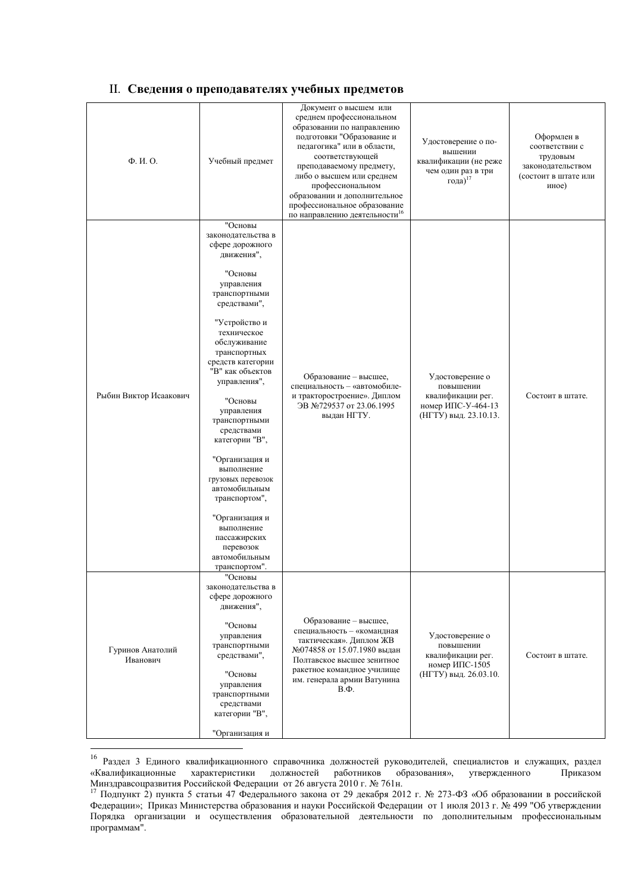#### II. Сведения о преподавателях учебных предметов

|                              |                                                                                                                       | Документ о высшем или<br>среднем профессиональном                                                                                                                                                                                                                                                  |                                                                                                  |                                                                                                |
|------------------------------|-----------------------------------------------------------------------------------------------------------------------|----------------------------------------------------------------------------------------------------------------------------------------------------------------------------------------------------------------------------------------------------------------------------------------------------|--------------------------------------------------------------------------------------------------|------------------------------------------------------------------------------------------------|
| Ф. И. О.                     | Учебный предмет                                                                                                       | образовании по направлению<br>подготовки "Образование и<br>педагогика" или в области,<br>соответствующей<br>преподаваемому предмету,<br>либо о высшем или среднем<br>профессиональном<br>образовании и дополнительное<br>профессиональное образование<br>по направлению деятельности <sup>16</sup> | Удостоверение о по-<br>вышении<br>квалификации (не реже<br>чем один раз в три<br>года) $17$      | Оформлен в<br>соответствии с<br>трудовым<br>законодательством<br>(состоит в штате или<br>иное) |
|                              | "Основы<br>законодательства в<br>сфере дорожного<br>движения",                                                        |                                                                                                                                                                                                                                                                                                    |                                                                                                  |                                                                                                |
|                              | "Основы<br>управления<br>транспортными<br>средствами",                                                                |                                                                                                                                                                                                                                                                                                    |                                                                                                  |                                                                                                |
| Рыбин Виктор Исаакович       | "Устройство и<br>техническое<br>обслуживание<br>транспортных<br>средств категории<br>"В" как объектов<br>управления", | Образование - высшее,<br>специальность - «автомобиле-                                                                                                                                                                                                                                              | Удостоверение о<br>повышении<br>квалификации рег.<br>номер ИПС-У-464-13<br>(НГТУ) выд. 23.10.13. | Состоит в штате.                                                                               |
|                              | "Основы<br>управления<br>транспортными<br>средствами<br>категории "В",                                                | и тракторостроение». Диплом<br>ЭВ №729537 от 23.06.1995<br>выдан НГТУ.                                                                                                                                                                                                                             |                                                                                                  |                                                                                                |
|                              | "Организация и<br>выполнение<br>грузовых перевозок<br>автомобильным<br>транспортом",                                  |                                                                                                                                                                                                                                                                                                    |                                                                                                  |                                                                                                |
|                              | "Организация и<br>выполнение<br>пассажирских<br>перевозок<br>автомобильным<br>транспортом".                           |                                                                                                                                                                                                                                                                                                    |                                                                                                  |                                                                                                |
|                              | "Основы<br>законодательства в<br>сфере дорожного<br>движения",                                                        |                                                                                                                                                                                                                                                                                                    |                                                                                                  |                                                                                                |
| Гуринов Анатолий<br>Иванович | "Основы<br>управления<br>транспортными<br>средствами",                                                                | Образование - высшее,<br>специальность - «командная<br>тактическая». Диплом ЖВ<br>№074858 от 15.07.1980 выдан<br>Полтавское высшее зенитное<br>ракетное командное училище                                                                                                                          | Удостоверение о<br>повышении<br>квалификации рег.<br>номер ИПС-1505                              | Состоит в штате.                                                                               |
|                              | "Основы<br>управления<br>транспортными<br>средствами<br>категории "В",                                                | им. генерала армии Ватунина<br>$B.\Phi.$                                                                                                                                                                                                                                                           | (НГТУ) выд. 26.03.10.                                                                            |                                                                                                |
|                              | "Организация и                                                                                                        |                                                                                                                                                                                                                                                                                                    |                                                                                                  |                                                                                                |

<sup>&</sup>lt;sup>16</sup> Раздел 3 Единого квалификационного справочника должностей руководителей, специалистов и служащих, раздел «Квалификационные характеристики должностей работников образования», утвержденного Приказом Минздравсоцразвития Российской Федерации от 26 августа 2010 г. № 761н.

<sup>&</sup>lt;sup>17</sup> Подпункт 2) пункта 5 статьи 47 Федерального закона от 29 декабря 2012 г. № 273-ФЗ «Об образовании в российской Федерации»; Приказ Министерства образования и науки Российской Федерации от 1 июля 2013 г. № 499 "Об утверждении Порядка организации и осуществления образовательной деятельности по дополнительным профессиональным программам".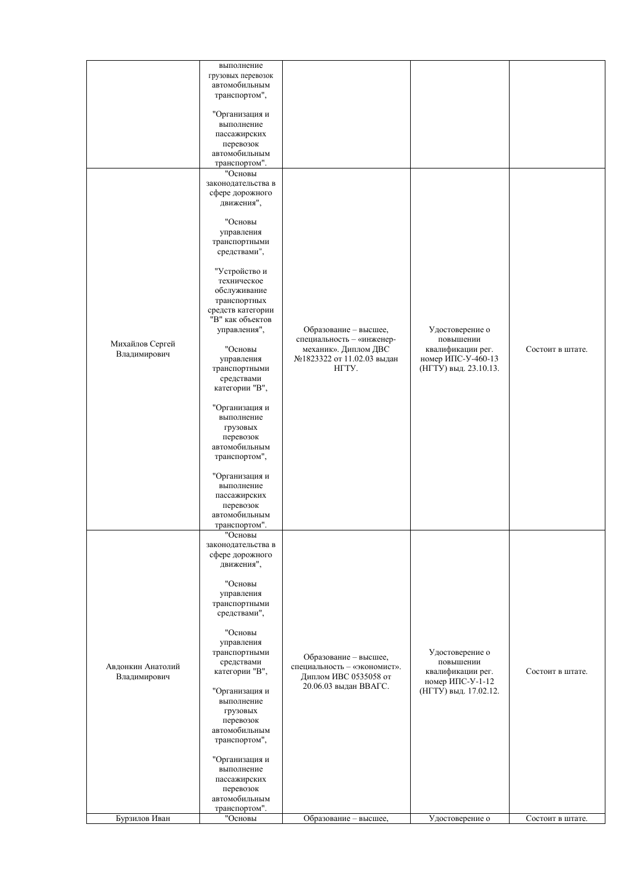|                                   | выполнение<br>грузовых перевозок<br>автомобильным<br>транспортом",                                                    |                                                                                                         |                                                                       |                  |
|-----------------------------------|-----------------------------------------------------------------------------------------------------------------------|---------------------------------------------------------------------------------------------------------|-----------------------------------------------------------------------|------------------|
|                                   | "Организация и<br>выполнение<br>пассажирских<br>перевозок<br>автомобильным<br>транспортом".                           |                                                                                                         |                                                                       |                  |
|                                   | "Основы<br>законодательства в<br>сфере дорожного<br>движения",                                                        |                                                                                                         |                                                                       |                  |
|                                   | "Основы<br>управления<br>транспортными<br>средствами",                                                                |                                                                                                         |                                                                       |                  |
|                                   | "Устройство и<br>техническое<br>обслуживание<br>транспортных<br>средств категории<br>"В" как объектов<br>управления", | Образование - высшее,<br>специальность - «инженер-                                                      | Удостоверение о<br>повышении                                          |                  |
| Михайлов Сергей<br>Владимирович   | "Основы<br>управления<br>транспортными<br>средствами<br>категории "В",                                                | механик». Диплом ДВС<br>№1823322 от 11.02.03 выдан<br>HITY.                                             | квалификации рег.<br>номер ИПС-У-460-13<br>(НГТУ) выд. 23.10.13.      | Состоит в штате. |
|                                   | "Организация и<br>выполнение<br>грузовых<br>перевозок<br>автомобильным<br>транспортом",                               |                                                                                                         |                                                                       |                  |
|                                   | "Организация и<br>выполнение<br>пассажирских<br>перевозок<br>автомобильным<br>транспортом".                           |                                                                                                         |                                                                       |                  |
|                                   | "Основы<br>законодательства в<br>сфере дорожного<br>движения",                                                        |                                                                                                         |                                                                       |                  |
|                                   | "Основы<br>управления<br>транспортными<br>средствами",                                                                |                                                                                                         |                                                                       |                  |
| Авдонкин Анатолий<br>Владимирович | "Основы<br>управления<br>транспортными<br>средствами<br>категории "В",                                                | Образование - высшее,<br>специальность - «экономист».<br>Диплом ИВС 0535058 от<br>20.06.03 выдан ВВАГС. | Удостоверение о<br>повышении<br>квалификации рег.<br>номер ИПС-У-1-12 | Состоит в штате. |
|                                   | "Организация и<br>выполнение<br>грузовых<br>перевозок<br>автомобильным<br>транспортом",                               |                                                                                                         | (НГТУ) выд. 17.02.12.                                                 |                  |
|                                   | "Организация и<br>выполнение<br>пассажирских<br>перевозок<br>автомобильным<br>транспортом".                           |                                                                                                         |                                                                       |                  |
| Бурзилов Иван                     | "Основы                                                                                                               | Образование - высшее,                                                                                   | Удостоверение о                                                       | Состоит в штате. |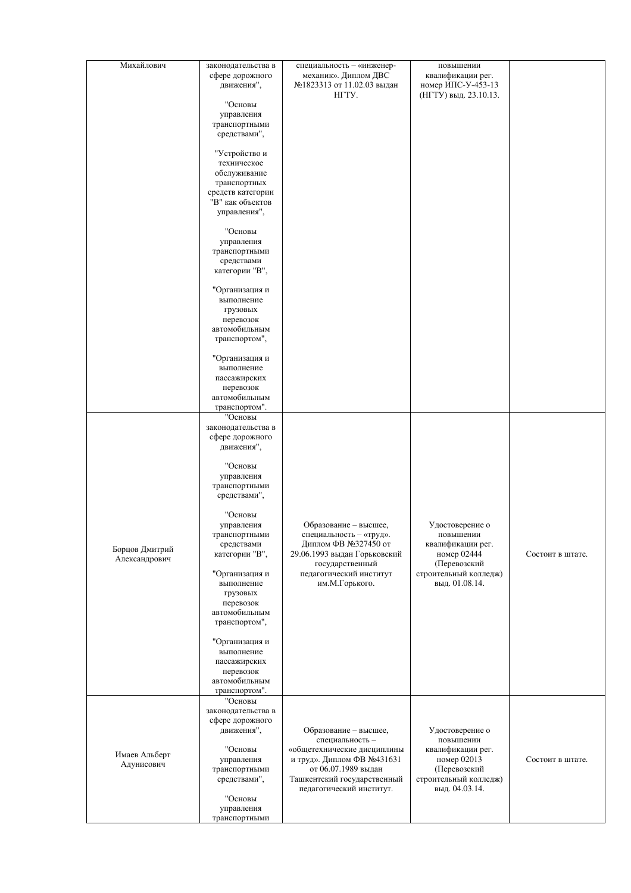| Михайлович                      | законодательства в<br>сфере дорожного<br>движения",                                                                   | специальность - «инженер-<br>механик». Диплом ДВС<br>№1823313 от 11.02.03 выдан<br>HITY.                                    | повышении<br>квалификации рег.<br>номер ИПС-У-453-13<br>(НГТУ) выд. 23.10.13.    |                  |
|---------------------------------|-----------------------------------------------------------------------------------------------------------------------|-----------------------------------------------------------------------------------------------------------------------------|----------------------------------------------------------------------------------|------------------|
|                                 | "Основы<br>управления<br>транспортными<br>средствами",                                                                |                                                                                                                             |                                                                                  |                  |
|                                 | "Устройство и<br>техническое<br>обслуживание<br>транспортных<br>средств категории<br>"В" как объектов<br>управления", |                                                                                                                             |                                                                                  |                  |
|                                 | "Основы<br>управления<br>транспортными<br>средствами<br>категории "В",                                                |                                                                                                                             |                                                                                  |                  |
|                                 | "Организация и<br>выполнение<br>грузовых<br>перевозок<br>автомобильным<br>транспортом",                               |                                                                                                                             |                                                                                  |                  |
|                                 | "Организация и<br>выполнение<br>пассажирских<br>перевозок<br>автомобильным<br>транспортом".                           |                                                                                                                             |                                                                                  |                  |
|                                 | "Основы<br>законодательства в<br>сфере дорожного<br>движения",                                                        |                                                                                                                             |                                                                                  |                  |
|                                 | "Основы<br>управления<br>транспортными<br>средствами",                                                                |                                                                                                                             |                                                                                  |                  |
| Борцов Дмитрий<br>Александрович | "Основы<br>управления<br>транспортными<br>средствами<br>категории "В",                                                | Образование - высшее,<br>специальность - «труд».<br>Диплом ФВ №327450 от<br>29.06.1993 выдан Горьковский<br>государственный | Удостоверение о<br>повышении<br>квалификации рег.<br>номер 02444<br>(Перевозский | Состоит в штате. |
|                                 | "Организация и<br>выполнение<br>грузовых<br>перевозок<br>автомобильным<br>транспортом",                               | педагогический институт<br>им.М.Горького.                                                                                   | строительный колледж)<br>выд. 01.08.14.                                          |                  |
|                                 | "Организация и<br>выполнение<br>пассажирских<br>перевозок<br>автомобильным<br>транспортом".                           |                                                                                                                             |                                                                                  |                  |
| Имаев Альберт                   | "Основы<br>законодательства в<br>сфере дорожного<br>движения",<br>"Основы                                             | Образование - высшее,<br>специальность -<br>«общетехнические дисциплины                                                     | Удостоверение о<br>повышении<br>квалификации рег.                                |                  |
| Адунисович                      | управления<br>транспортными<br>средствами",<br>"Основы<br>управления<br>транспортными                                 | и труд». Диплом ФВ №431631<br>от 06.07.1989 выдан<br>Ташкентский государственный<br>педагогический институт.                | номер 02013<br>(Перевозский<br>строительный колледж)<br>выд. 04.03.14.           | Состоит в штате. |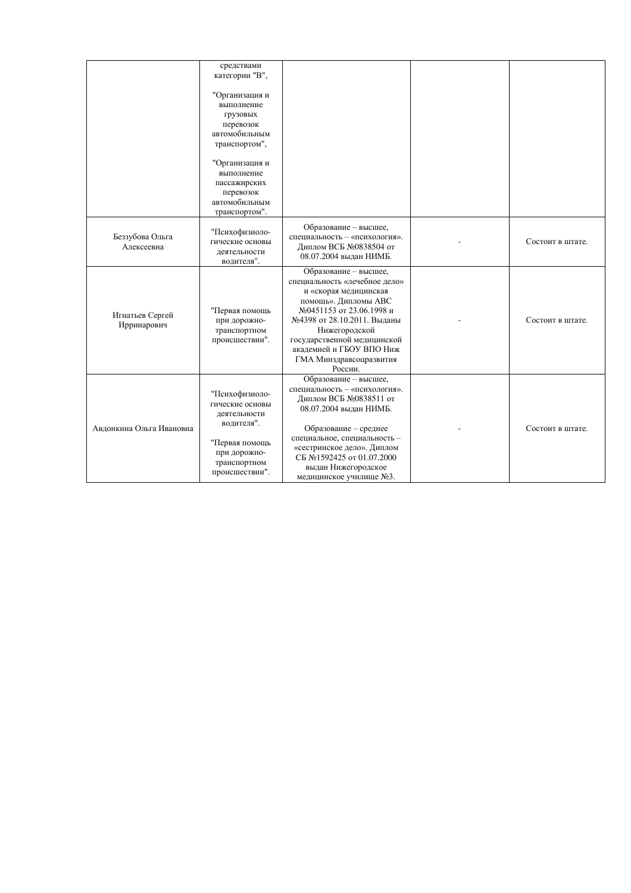|                                | средствами<br>категории "В",<br>"Организация и<br>выполнение<br>грузовых<br>перевозок<br>автомобильным<br>транспортом",<br>"Организация и<br>выполнение<br>пассажирских<br>перевозок<br>автомобильным<br>транспортом". |                                                                                                                                                                                                                                                                                      |                  |
|--------------------------------|------------------------------------------------------------------------------------------------------------------------------------------------------------------------------------------------------------------------|--------------------------------------------------------------------------------------------------------------------------------------------------------------------------------------------------------------------------------------------------------------------------------------|------------------|
| Беззубова Ольга<br>Алексеевна  | "Психофизиоло-<br>гические основы<br>деятельности<br>водителя".                                                                                                                                                        | Образование - высшее,<br>специальность - «психология».<br>Диплом ВСБ №0838504 от<br>08.07.2004 выдан НИМБ.                                                                                                                                                                           | Состоит в штате. |
| Игнатьев Сергей<br>Ирринарович | "Первая помощь<br>при дорожно-<br>транспортном<br>происшествии".                                                                                                                                                       | Образование - высшее,<br>специальность «лечебное дело»<br>и «скорая медицинская<br>помощь». Дипломы АВС<br>№0451153 от 23.06.1998 и<br>№4398 от 28.10.2011. Выданы<br>Нижегородской<br>государственной медицинской<br>академией и ГБОУ ВПО Ниж<br>ГМА Минздравсоцразвития<br>России. | Состоит в штате. |
| Авлонкина Ольга Ивановна       | "Психофизиоло-<br>гические основы<br>деятельности<br>водителя".<br>"Первая помощь<br>при дорожно-<br>транспортном<br>происшествии".                                                                                    | Образование - высшее,<br>специальность - «психология».<br>Диплом ВСБ №0838511 от<br>08.07.2004 выдан НИМБ.<br>Образование - среднее<br>специальное, специальность -<br>«сестринское дело». Диплом<br>СБ №1592425 от 01.07.2000<br>выдан Нижегородское<br>медицинское училище №3.     | Состоит в штате. |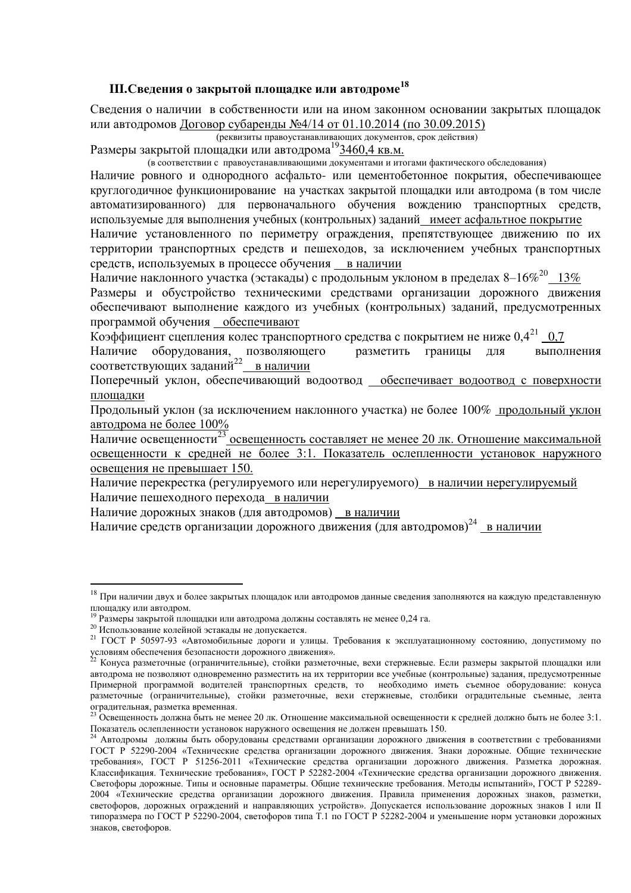## **III.Свеления о закрытой плошалке или автолроме**<sup>18</sup>

Сведения о наличии в собственности или на ином законном основании закрытых площадок или автолромов Логовор субаренды №4/14 от 01.10.2014 (по 30.09.2015)

**(реквизиты правоустанавливающих документов, срок действия)** 

Размеры закрытой площадки или автодрома<sup>19</sup>3460,4 кв.м.

е соответствии с правоустанавливающими документами и итогами фактического обследования)

Наличие ровного и однородного асфальто- или цементобетонное покрытия, обеспечивающее круглогодичное функционирование на участках закрытой площадки или автодрома (в том числе автоматизированного) для первоначального обучения вождению транспортных средств, используемые для выполнения учебных (контрольных) заданий имеет асфальтное покрытие

Наличие установленного по периметру ограждения, препятствующее движению по их территории транспортных средств и пешеходов, за исключением учебных транспортных средств, используемых в процессе обучения в наличии

Наличие наклонного участка (эстакады) с продольным уклоном в пределах 8-16%<sup>20</sup> 13%

Размеры и обустройство техническими средствами организации дорожного движения обеспечивают выполнение каждого из учебных (контрольных) заданий, предусмотренных программой обучения обеспечивают

Коэффициент сцепления колес транспортного средства с покрытием не ниже  $0.4^{21}$  0.7

Наличие оборудования, позволяющего разметить границы для выполнения соответствующих заданий<sup>22</sup> в наличии

Поперечный уклон, обеспечивающий водоотвод обеспечивает водоотвод с поверхности площадки

Продольный уклон (за исключением наклонного участка) не более 100% продольный уклон автолрома не более 100%

Наличие освещенности<sup>23</sup> освещенность составляет не менее 20 лк. Отношение максимальной освещенности к средней не более 3:1. Показатель ослепленности установок наружного освещения не превышает 150.

Наличие перекрестка (регулируемого или нерегулируемого) в наличии нерегулируемый Наличие пешеходного перехода в наличии

Наличие дорожных знаков (для автодромов) в наличии

Наличие средств организации дорожного движения (для автодромов)<sup>24</sup> \_<u>в наличии</u>

 $18$  При наличии двух и более закрытых площадок или автодромов данные сведения заполняются на каждую представленную плошалку или автолром.

 $^{19}$  Размеры закрытой площадки или автодрома должны составлять не менее 0,24 га.

<sup>&</sup>lt;sup>20</sup> Использование колейной эстакады не допускается.

<sup>&</sup>lt;sup>21</sup> ГОСТ Р 50597-93 «Автомобильные дороги и улицы. Требования к эксплуатационному состоянию, допустимому по условиям обеспечения безопасности дорожного движения».

 $^{22}$  Конуса разметочные (ограничительные), стойки разметочные, вехи стержневые. Если размеры закрытой площадки или автодрома не позволяют одновременно разместить на их территории все учебные (контрольные) задания, предусмотренные Примерной программой водителей транспортных средств, то необходимо иметь съемное оборудование: конуса разметочные (ограничительные), стойки разметочные, вехи стержневые, столбики оградительные съемные, лента оградительная, разметка временная.

<sup>&</sup>lt;sup>23</sup> Освещенность должна быть не менее 20 лк. Отношение максимальной освещенности к средней должно быть не более 3:1. Показатель ослепленности установок наружного освещения не должен превышать 150.

<sup>&</sup>lt;sup>24</sup> Автодромы должны быть оборудованы средствами организации дорожного движения в соответствии с требованиями ГОСТ Р 52290-2004 «Технические средства организации дорожного движения. Знаки дорожные. Общие технические требования», ГОСТ Р 51256-2011 «Технические средства организации дорожного движения. Разметка дорожная. Классификация. Технические требования», ГОСТ Р 52282-2004 «Технические средства организации дорожного движения. Светофоры дорожные. Типы и основные параметры. Общие технические требования. Методы испытаний», ГОСТ Р 52289-2004 «Технические средства организации дорожного движения. Правила применения дорожных знаков, разметки, светофоров, дорожных ограждений и направляющих устройств». Допускается использование дорожных знаков I или II типоразмера по ГОСТ Р 52290-2004, светофоров типа Т.1 по ГОСТ Р 52282-2004 и уменьшение норм установки дорожных знаков, светофоров.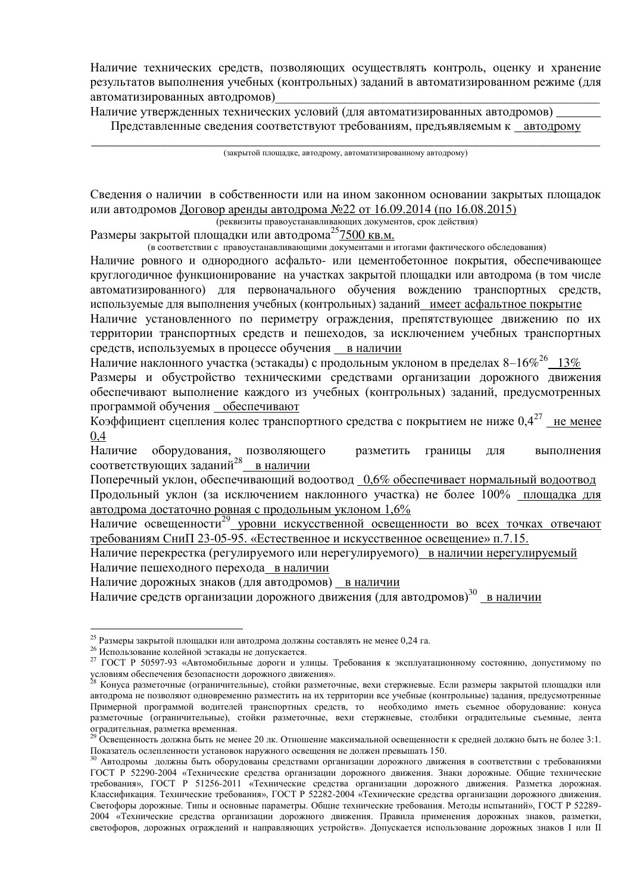Наличие технических средств, позволяющих осуществлять контроль, оценку и хранение результатов выполнения учебных (контрольных) заданий в автоматизированном режиме (для автоматизированных автодромов)

Наличие утвержденных технических условий (для автоматизированных автодромов) Представленные сведения соответствуют требованиям, предъявляемым к автодрому

\_\_\_\_\_\_\_\_\_\_\_\_\_\_\_\_\_\_\_\_\_\_\_\_\_\_\_\_\_\_\_\_\_\_\_\_\_\_\_\_\_\_\_\_\_\_\_\_\_\_\_\_\_\_\_\_\_\_\_\_\_\_\_\_\_\_\_\_\_\_\_\_\_\_\_\_\_\_\_\_ (закрытой площадке, автодрому, автоматизированному автодрому)

Сведения о наличии в собственности или на ином законном основании закрытых площадок или автодромов Договор аренды автодрома №22 от 16.09.2014 (по 16.08.2015)

та и советана и советана и постанавливающих документов, срок действия)

Размеры закрытой площадки или автодрома<sup>25</sup>7500 кв.м.

(в соответствии с правоустанавливающими документами и итогами фактического обследования)

Наличие ровного и однородного асфальто- или цементобетонное покрытия, обеспечивающее круглогодичное функционирование на участках закрытой площадки или автодрома (в том числе автоматизированного) для первоначального обучения вождению транспортных средств, используемые для выполнения учебных (контрольных) заданий имеет асфальтное покрытие

Наличие установленного по периметру ограждения, препятствующее движению по их территории транспортных средств и пешеходов, за исключением учебных транспортных средств, используемых в процессе обучения в наличии

Наличие наклонного участка (эстакады) с продольным уклоном в пределах 8–16%<sup>26</sup> 13%

Размеры и обустройство техническими средствами организации дорожного движения обеспечивают выполнение каждого из учебных (контрольных) заданий, предусмотренных программой обучения обеспечивают

Коэффициент сцепления колес транспортного средства с покрытием не ниже  $0,4^{27}$  не менее 0,4

Наличие оборудования, позволяющего и разметить границы для и выполнения соответствующих заданий<sup>28</sup> в наличии

Поперечный уклон, обеспечивающий водоотвод 0,6% обеспечивает нормальный водоотвод Продольный уклон (за исключением наклонного участка) не более 100% площадка для автодрома достаточно ровная с продольным уклоном 1,6%

Hаличие освещенности<sup>29</sup> уровни искусственной освещенности во всех точках отвечают требованиям СниП 23-05-95. «Естественное и искусственное освещение» п.7.15.

Наличие перекрестка (регулируемого или нерегулируемого) в наличии нерегулируемый Наличие пешеходного перехода в наличии

Наличие дорожных знаков (для автодромов) в наличии

Наличие средств организации дорожного движения (для автодромов)<sup>30</sup> в наличии

<u>.</u>

<sup>&</sup>lt;sup>25</sup> Размеры закрытой площадки или автодрома должны составлять не менее 0,24 га.

<sup>&</sup>lt;sup>26</sup> Использование колейной эстакады не допускается.

<sup>&</sup>lt;sup>27</sup> ГОСТ Р 50597-93 «Автомобильные дороги и улицы. Требования к эксплуатационному состоянию, допустимому по условиям обеспечения безопасности дорожного движения».

<sup>&</sup>lt;sup>28</sup> Конуса разметочные (ограничительные), стойки разметочные, вехи стержневые. Если размеры закрытой площадки или автодрома не позволяют одновременно разместить на их территории все учебные (контрольные) задания, предусмотренные Примерной программой водителей транспортных средств, то необходимо иметь съемное оборудование: конуса разметочные (ограничительные), стойки разметочные, вехи стержневые, столбики оградительные съемные, лента оградительная, разметка временная.

<sup>&</sup>lt;sup>29</sup> Освещенность должна быть не менее 20 лк. Отношение максимальной освещенности к средней должно быть не более 3:1. Показатель ослепленности установок наружного освещения не должен превышать 150.

<sup>30</sup> Автодромы должны быть оборудованы средствами организации дорожного движения в соответствии с требованиями ГОСТ Р 52290-2004 «Технические средства организации дорожного движения. Знаки дорожные. Общие технические требования», ГОСТ Р 51256-2011 «Технические средства организации дорожного движения. Разметка дорожная. Классификация. Технические требования», ГОСТ Р 52282-2004 «Технические средства организации дорожного движения. Светофоры дорожные. Типы и основные параметры. Общие технические требования. Методы испытаний», ГОСТ Р 52289-2004 «Технические средства организации дорожного движения. Правила применения дорожных знаков, разметки, светофоров, дорожных ограждений и направляющих устройств». Допускается использование дорожных знаков I или II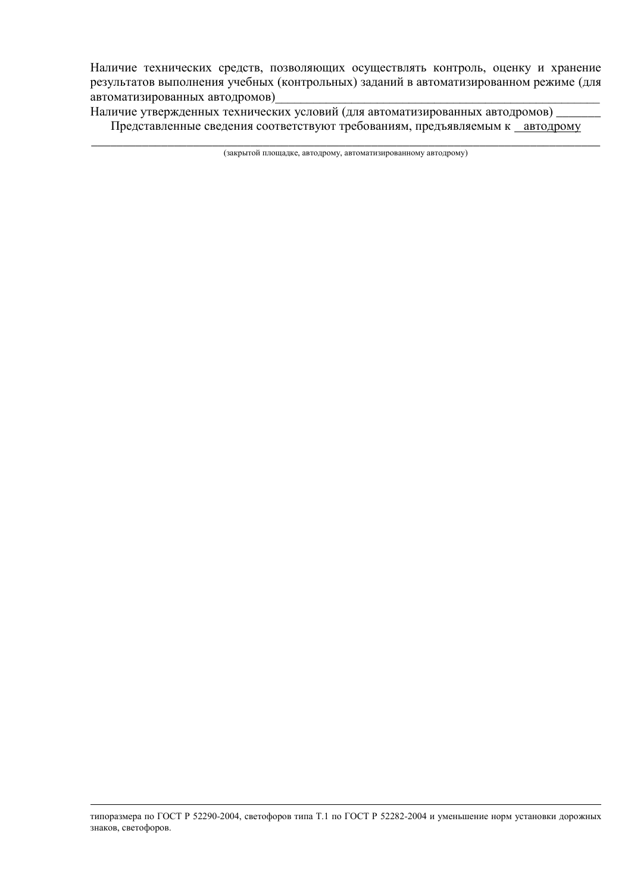Наличие технических средств, позволяющих осуществлять контроль, оценку и хранение результатов выполнения учебных (контрольных) заданий в автоматизированном режиме (для автоматизированных автодромов)

Наличие утвержденных технических условий (для автоматизированных автодромов) Представленные сведения соответствуют требованиям, предъявляемым к автодрому

\_\_\_\_\_\_\_\_\_\_\_\_\_\_\_\_\_\_\_\_\_\_\_\_\_\_\_\_\_\_\_\_\_\_\_\_\_\_\_\_\_\_\_\_\_\_\_\_\_\_\_\_\_\_\_\_\_\_\_\_\_\_\_\_\_\_\_\_\_\_\_\_\_\_\_\_\_\_\_\_ (закрытой площадке, автодрому, автоматизированному автодрому)

типоразмера по ГОСТ Р 52290-2004, светофоров типа Т.1 по ГОСТ Р 52282-2004 и уменьшение норм установки дорожных знаков, светофоров.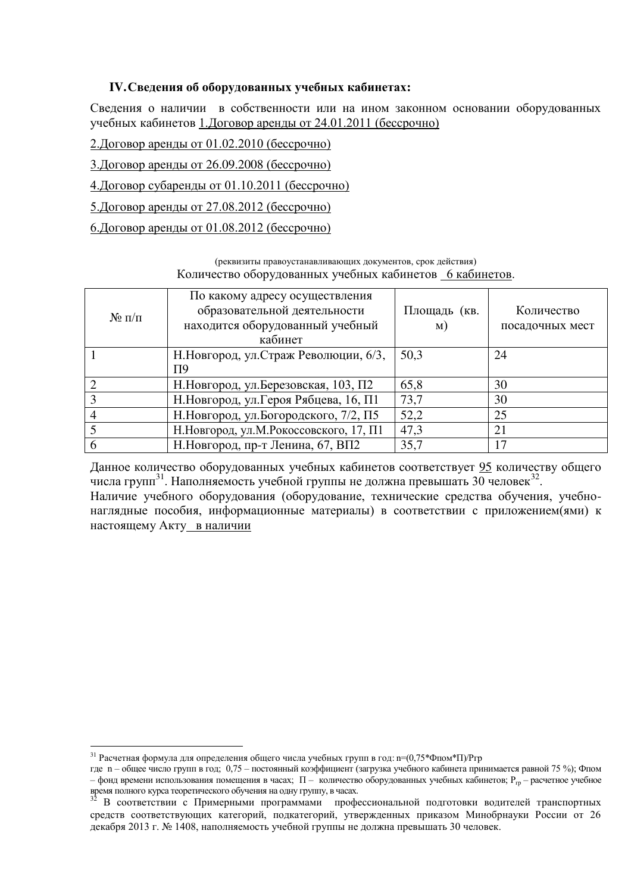## IV. Сведения об оборудованных учебных кабинетах:

Сведения о наличии в собственности или на ином законном основании оборудованных учебных кабинетов 1. Договор аренды от 24.01.2011 (бессрочно)

- <u>2. Договор аренды от 01.02.2010 (бессрочно)</u>
- 3. Договор аренды от 26.09.2008 (бессрочно)
- 4. Договор субаренды от 01.10.2011 (бессрочно)
- 5. Договор аренды от 27.08.2012 (бессрочно)

## <u>6. Договор аренды от 01.08.2012 (бессрочно)</u>

(реквизиты правоустанавливающих документов, срок действия) Количество оборудованных учебных кабинетов 6 кабинетов.

| $N_2 \pi/\pi$ | По какому адресу осуществления<br>образовательной деятельности<br>находится оборудованный учебный<br>кабинет | Площадь (кв.<br>M) | Количество<br>посадочных мест |
|---------------|--------------------------------------------------------------------------------------------------------------|--------------------|-------------------------------|
|               | Н. Новгород, ул. Страж Революции, 6/3,                                                                       | 50,3               | 24                            |
|               | П9                                                                                                           |                    |                               |
|               | Н. Новгород, ул. Березовская, 103, П2                                                                        | 65,8               | 30                            |
|               | Н. Новгород, ул. Героя Рябцева, 16, П1                                                                       | 73,7               | 30                            |
|               | Н. Новгород, ул. Богородского, 7/2, П5                                                                       | 52,2               | 25                            |
|               | Н. Новгород, ул. М. Рокоссовского, 17, П1                                                                    | 47,3               | 21                            |
|               | Н. Новгород, пр-т Ленина, 67, ВП2                                                                            | 35,7               | 17                            |

Данное количество оборудованных учебных кабинетов соответствует 95 количеству общего числа групп<sup>31</sup>. Наполняемость учебной группы не должна превышать 30 человек<sup>32</sup>. Наличие учебного оборудования (оборудование, технические средства обучения, учебнонаглядные пособия, информационные материалы) в соответствии с приложением(ями) к настоящему Акту\_в наличии

 $31$  Расчетная формула для определения общего числа учебных групп в год: n=(0,75\*Фпом\*П)/Prp

где n - общее число групп в год; 0,75 - постоянный коэффициент (загрузка учебного кабинета принимается равной 75 %); Фпом - фонд времени использования помещения в часах; П - количество оборудованных учебных кабинетов; Р<sub>гр</sub> - расчетное учебное время полного курса теоретического обучения на одну группу, в часах.<br><sup>32</sup> В

В соответствии с Примерными программами профессиональной подготовки водителей транспортных средств соответствующих категорий, подкатегорий, утвержденных приказом Минобрнауки России от 26 декабря 2013 г. № 1408, наполняемость учебной группы не должна превышать 30 человек.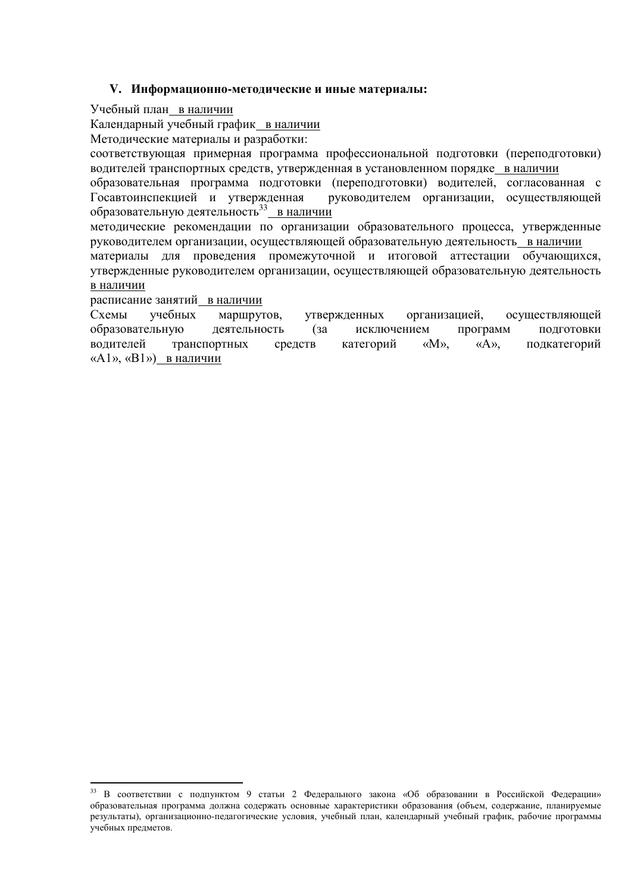### **V. ɂɧɮɨɪɦɚɰɢɨɧɧɨ-ɦɟɬɨɞɢɱɟɫɤɢɟɢɢɧɵɟɦɚɬɟɪɢɚɥɵ:**

Учебный план в наличии

Календарный учебный график в наличии

Методические материалы и разработки:

соответствующая примерная программа профессиональной подготовки (переподготовки) водителей транспортных средств, утвержденная в установленном порядке в наличии

образовательная программа подготовки (переподготовки) водителей, согласованная с Госавтоинспекцией и утвержденная руководителем организации, осуществляющей образовательную деятельность<sup>33</sup> в наличии

методические рекомендации по организации образовательного процесса, утвержденные руководителем организации, осуществляющей образовательную деятельность в наличии

материалы для проведения промежуточной и итоговой аттестации обучающихся, утвержденные руководителем организации, осуществляющей образовательную деятельность в наличии

расписание занятий в наличии

-

Схемы учебных маршрутов, утвержденных организацией, осуществляющей образовательную деятельность (за исключением программ подготовки водителей транспортных средств категорий «М», «А», подкатегорий « $A1$ », «В $1$ ») в наличии

<sup>&</sup>lt;sup>33</sup> В соответствии с подпунктом 9 статьи 2 Федерального закона «Об образовании в Российской Федерации» образовательная программа должна содержать основные характеристики образования (объем, содержание, планируемые результаты), организационно-педагогические условия, учебный план, календарный учебный график, рабочие программы учебных предметов.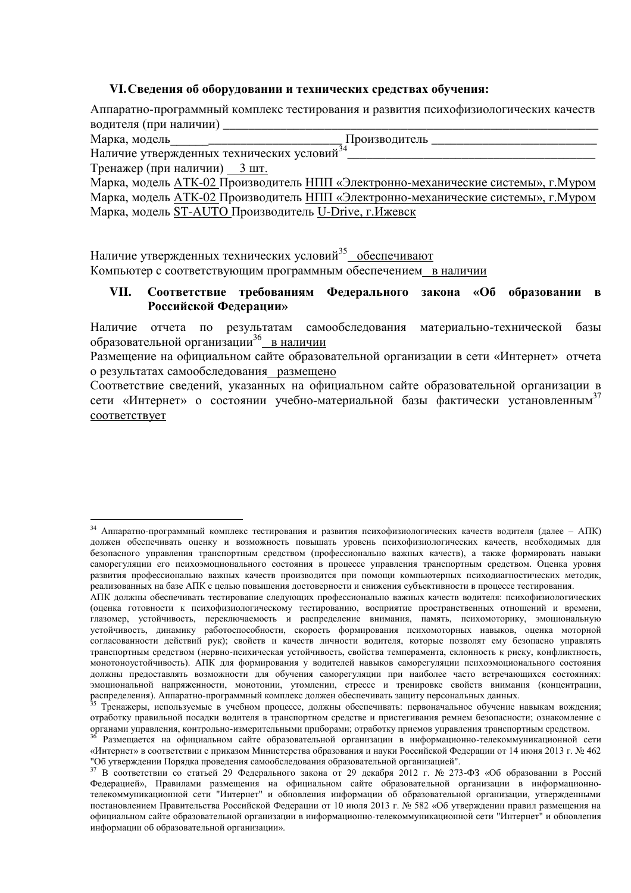#### VI. Сведения об оборудовании и технических средствах обучения:

Аппаратно-программный комплекс тестирования и развития психофизиологических качеств волителя (при наличии)

Марка, модель в том не и производитель

<u>.</u>

\_\_\_\_\_\_\_\_\_\_\_\_\_\_\_\_\_\_\_\_\_\_\_\_\_\_\_\_\_\_\_\_\_\_\_\_\_\_\_

Наличие утвержденных технических условий<sup>34</sup>  $T$ пенажер (при наличии) 3 шт

| 1.1                                                                                |
|------------------------------------------------------------------------------------|
| Марка, модель ATK-02 Производитель НПП «Электронно-механические системы», г. Муром |
| Марка, модель ATK-02 Производитель НПП «Электронно-механические системы», г.Муром  |
| Марка, модель ST-AUTO Производитель U-Drive, г. Ижевск                             |

Наличие утвержденных технических условий<sup>35</sup>\_обеспечивают Компьютер с соответствующим программным обеспечением в наличии

## VII. Соответствие требованиям Федерального закона «Об образовании в Российской Федерации»

Наличие отчета по результатам самообследования материально-технической базы образовательной организации<sup>36</sup>\_\_<u>в наличии</u>

Размешение на официальном сайте образовательной организации в сети «Интернет» отчета о результатах самообследования размещено

Соответствие сведений, указанных на официальном сайте образовательной организации в сети «Интернет» о состоянии учебно-материальной базы фактически установленным<sup>37</sup> COOTBETCTBVET

<sup>&</sup>lt;sup>34</sup> Аппаратно-программный комплекс тестирования и развития психофизиологических качеств водителя (далее – АПК) должен обеспечивать оценку и возможность повышать уровень психофизиологических качеств, необходимых для безопасного управления транспортным средством (профессионально важных качеств), а также формировать навыки саморегуляции его психоэмоционального состояния в процессе управления транспортным средством. Оценка уровня развития профессионально важных качеств производится при помощи компьютерных психодиагностических методик, реализованных на базе АПК с целью повышения достоверности и снижения субъективности в процессе тестирования.

АПК должны обеспечивать тестирование следующих профессионально важных качеств водителя: психофизиологических (оценка готовности к психофизиологическому тестированию, восприятие пространственных отношений и времени, глазомер, устойчивость, переключаемость и распределение внимания, память, психомоторику, эмоциональную устойчивость, динамику работоспособности, скорость формирования психомоторных навыков, оценка моторной согласованности действий рук); свойств и качеств личности водителя, которые позволят ему безопасно управлять транспортным средством (нервно-психическая устойчивость, свойства темперамента, склонность к риску, конфликтность, монотоноустойчивость). АПК для формирования у водителей навыков саморегуляции психоэмоционального состояния должны предоставлять возможности для обучения саморегуляции при наиболее часто встречающихся состояниях: эмоциональной напряженности, монотонии, утомлении, стрессе и тренировке свойств внимания (концентрации, распределения). Аппаратно-программный комплекс должен обеспечивать защиту персональных данных.

Тренажеры, используемые в учебном процессе, должны обеспечивать: первоначальное обучение навыкам вождения; отработку правильной посалки волителя в транспортном средстве и пристегивания ремнем безопасности: ознакомление с органами управления, контрольно-измерительными приборами; отработку приемов управления транспортным средством.

Размещается на официальном сайте образовательной организации в информационно-телекоммуникационной сети «Интернет» в соответствии с приказом Министерства образования и науки Российской Федерации от 14 июня 2013 г. № 462 "Об утверждении Порядка проведения самообследования образовательной организацией".

 $37 B$  соответствии со статьей 29 Федерального закона от 29 декабря 2012 г. № 273-ФЗ «Об образовании в Россий Федерацией», Правилами размещения на официальном сайте образовательной организации в информационнотелекоммуникационной сети "Интернет" и обновления информации об образовательной организации, утвержденными постановлением Правительства Российской Федерации от 10 июля 2013 г. № 582 «Об утверждении правил размещения на официальном сайте образовательной организации в информационно-телекоммуникационной сети "Интернет" и обновления информации об образовательной организации».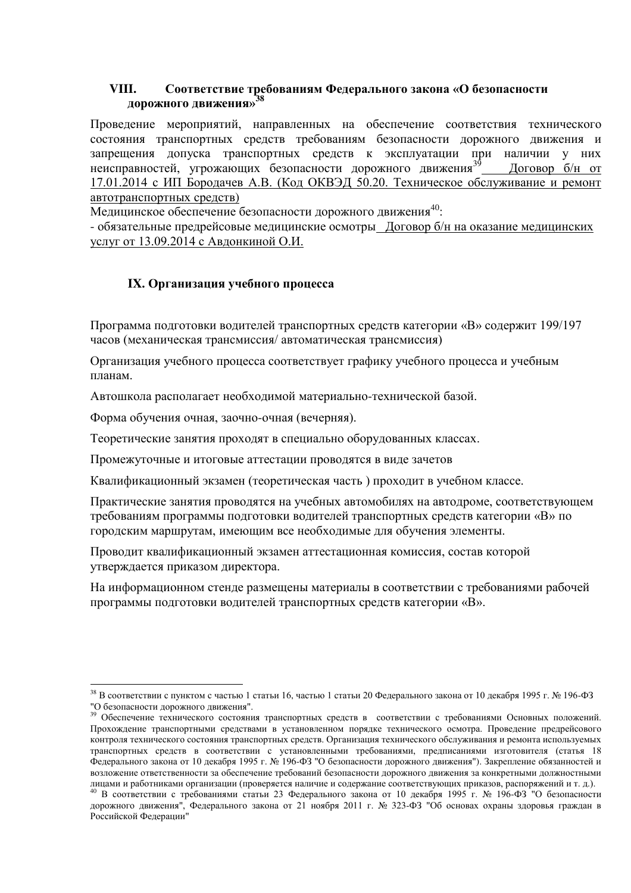## VIII. Соответствие требованиям Федерального закона «О безопасности дорожного движения»<sup>38</sup>

Проведение мероприятий, направленных на обеспечение соответствия технического состояния транспортных средств требованиям безопасности дорожного движения и запрещения допуска транспортных средств к эксплуатации при наличии у них неисправностей, угрожающих безопасности дорожного движения<sup>39</sup> Договор  $\frac{6}{H}$  от 17.01.2014 с ИП Бородачев А.В. (Код ОКВЭД 50.20. Техническое обслуживание и ремонт автотранспортных средств)

Медицинское обеспечение безопасности дорожного движения<sup>40</sup>:

- обязательные предрейсовые медицинские осмотры Договор б/н на оказание медицинских үслүг от 13.09.2014 с Авдонкиной О.И.

## **IX**. Организация учебного процесса

Программа подготовки водителей транспортных средств категории «В» содержит 199/197 часов (механическая трансмиссия/ автоматическая трансмиссия)

Организация учебного процесса соответствует графику учебного процесса и учебным планам

Автошкола располагает необходимой материально-технической базой.

Форма обучения очная, заочно-очная (вечерняя).

<u>.</u>

Теоретические занятия проходят в специально оборудованных классах.

Промежуточные и итоговые аттестации проводятся в виде зачетов

Квалификационный экзамен (теоретическая часть) проходит в учебном классе.

Практические занятия проводятся на учебных автомобилях на автодроме, соответствующем требованиям программы подготовки водителей транспортных средств категории «В» по городским маршрутам, имеющим все необходимые для обучения элементы.

Проводит квалификационный экзамен аттестационная комиссия, состав которой утверждается приказом директора.

На информационном стенде размещены материалы в соответствии с требованиями рабочей программы подготовки водителей транспортных средств категории «В».

<sup>&</sup>lt;sup>38</sup> В соответствии с пунктом с частью 1 статьи 16, частью 1 статьи 20 Федерального закона от 10 декабря 1995 г. № 196-ФЗ "О безопасности дорожного движения".

<sup>39</sup> Обеспечение технического состояния транспортных средств в соответствии с требованиями Основных положений. Прохождение транспортными средствами в установленном порядке технического осмотра. Проведение предрейсового контроля технического состояния транспортных средств. Организация технического обслуживания и ремонта используемых транспортных средств в соответствии с установленными требованиями, предписаниями изготовителя (статья 18 Федерального закона от 10 декабря 1995 г. № 196-ФЗ "О безопасности дорожного движения"). Закрепление обязанностей и возложение ответственности за обеспечение требований безопасности дорожного движения за конкретными должностными лицами и работниками организации (проверяется наличие и содержание соответствующих приказов, распоряжений и т. д.).

<sup>40</sup> В соответствии с требованиями статьи 23 Федерального закона от 10 декабря 1995 г. № 196-ФЗ "О безопасности дорожного движения", Федерального закона от 21 ноября 2011 г. № 323-ФЗ "Об основах охраны здоровья граждан в Российской Федерации"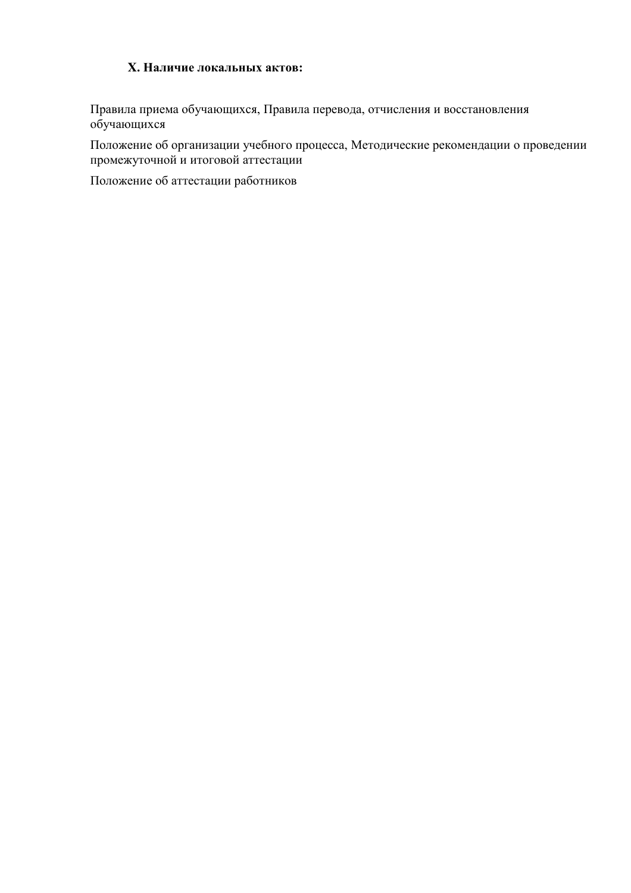## **X Hаличие локальных актов:**

Правила приема обучающихся, Правила перевода, отчисления и восстановления обучающихся

Положение об организации учебного процесса, Методические рекомендации о проведении промежуточной и итоговой аттестации

Положение об аттестации работников